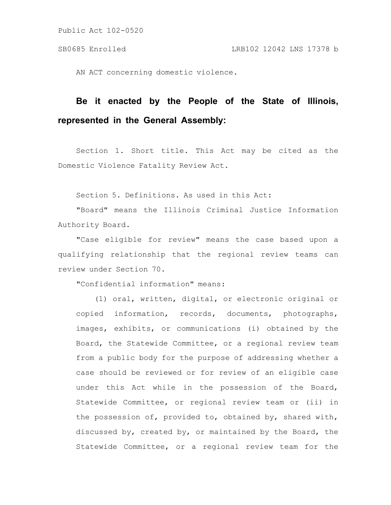AN ACT concerning domestic violence.

# **Be it enacted by the People of the State of Illinois, represented in the General Assembly:**

Section 1. Short title. This Act may be cited as the Domestic Violence Fatality Review Act.

Section 5. Definitions. As used in this Act:

"Board" means the Illinois Criminal Justice Information Authority Board.

"Case eligible for review" means the case based upon a qualifying relationship that the regional review teams can review under Section 70.

"Confidential information" means:

(1) oral, written, digital, or electronic original or copied information, records, documents, photographs, images, exhibits, or communications (i) obtained by the Board, the Statewide Committee, or a regional review team from a public body for the purpose of addressing whether a case should be reviewed or for review of an eligible case under this Act while in the possession of the Board, Statewide Committee, or regional review team or (ii) in the possession of, provided to, obtained by, shared with, discussed by, created by, or maintained by the Board, the Statewide Committee, or a regional review team for the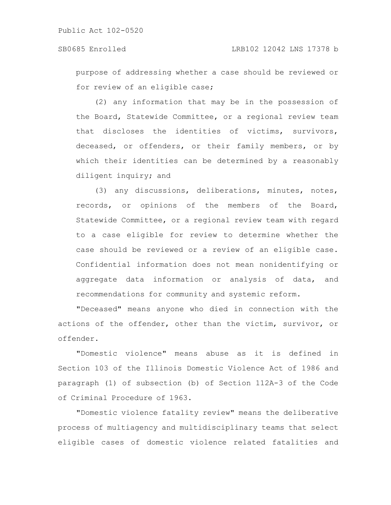purpose of addressing whether a case should be reviewed or for review of an eligible case;

(2) any information that may be in the possession of the Board, Statewide Committee, or a regional review team that discloses the identities of victims, survivors, deceased, or offenders, or their family members, or by which their identities can be determined by a reasonably diligent inquiry; and

(3) any discussions, deliberations, minutes, notes, records, or opinions of the members of the Board, Statewide Committee, or a regional review team with regard to a case eligible for review to determine whether the case should be reviewed or a review of an eligible case. Confidential information does not mean nonidentifying or aggregate data information or analysis of data, and recommendations for community and systemic reform.

"Deceased" means anyone who died in connection with the actions of the offender, other than the victim, survivor, or offender.

"Domestic violence" means abuse as it is defined in Section 103 of the Illinois Domestic Violence Act of 1986 and paragraph (1) of subsection (b) of Section 112A-3 of the Code of Criminal Procedure of 1963.

"Domestic violence fatality review" means the deliberative process of multiagency and multidisciplinary teams that select eligible cases of domestic violence related fatalities and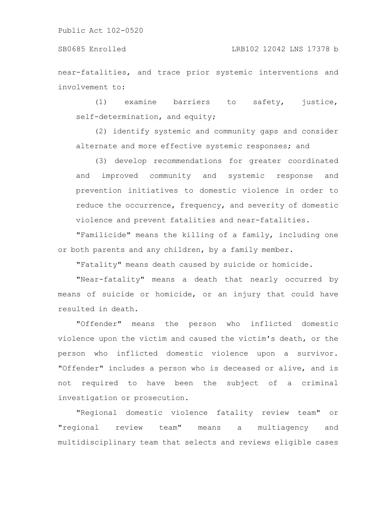#### SB0685 Enrolled LRB102 12042 LNS 17378 b

near-fatalities, and trace prior systemic interventions and involvement to:

(1) examine barriers to safety, justice, self-determination, and equity;

(2) identify systemic and community gaps and consider alternate and more effective systemic responses; and

(3) develop recommendations for greater coordinated and improved community and systemic response and prevention initiatives to domestic violence in order to reduce the occurrence, frequency, and severity of domestic violence and prevent fatalities and near-fatalities.

"Familicide" means the killing of a family, including one or both parents and any children, by a family member.

"Fatality" means death caused by suicide or homicide.

"Near-fatality" means a death that nearly occurred by means of suicide or homicide, or an injury that could have resulted in death.

"Offender" means the person who inflicted domestic violence upon the victim and caused the victim's death, or the person who inflicted domestic violence upon a survivor. "Offender" includes a person who is deceased or alive, and is not required to have been the subject of a criminal investigation or prosecution.

"Regional domestic violence fatality review team" or "regional review team" means a multiagency and multidisciplinary team that selects and reviews eligible cases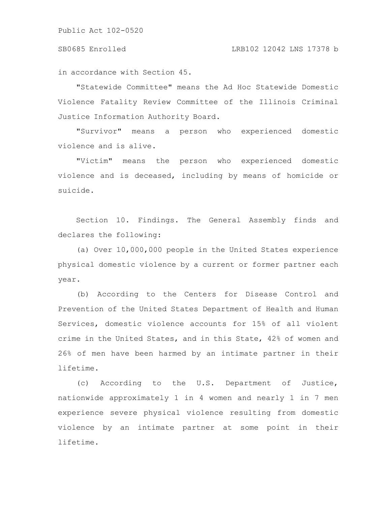#### SB0685 Enrolled LRB102 12042 LNS 17378 b

in accordance with Section 45.

"Statewide Committee" means the Ad Hoc Statewide Domestic Violence Fatality Review Committee of the Illinois Criminal Justice Information Authority Board.

"Survivor" means a person who experienced domestic violence and is alive.

"Victim" means the person who experienced domestic violence and is deceased, including by means of homicide or suicide.

Section 10. Findings. The General Assembly finds and declares the following:

(a) Over 10,000,000 people in the United States experience physical domestic violence by a current or former partner each year.

(b) According to the Centers for Disease Control and Prevention of the United States Department of Health and Human Services, domestic violence accounts for 15% of all violent crime in the United States, and in this State, 42% of women and 26% of men have been harmed by an intimate partner in their lifetime.

(c) According to the U.S. Department of Justice, nationwide approximately 1 in 4 women and nearly 1 in 7 men experience severe physical violence resulting from domestic violence by an intimate partner at some point in their lifetime.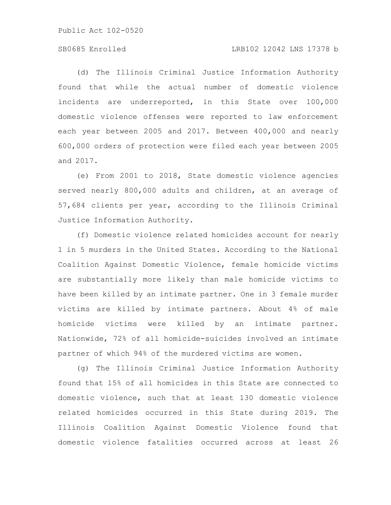#### SB0685 Enrolled LRB102 12042 LNS 17378 b

(d) The Illinois Criminal Justice Information Authority found that while the actual number of domestic violence incidents are underreported, in this State over 100,000 domestic violence offenses were reported to law enforcement each year between 2005 and 2017. Between 400,000 and nearly 600,000 orders of protection were filed each year between 2005 and 2017.

(e) From 2001 to 2018, State domestic violence agencies served nearly 800,000 adults and children, at an average of 57,684 clients per year, according to the Illinois Criminal Justice Information Authority.

(f) Domestic violence related homicides account for nearly 1 in 5 murders in the United States. According to the National Coalition Against Domestic Violence, female homicide victims are substantially more likely than male homicide victims to have been killed by an intimate partner. One in 3 female murder victims are killed by intimate partners. About 4% of male homicide victims were killed by an intimate partner. Nationwide, 72% of all homicide-suicides involved an intimate partner of which 94% of the murdered victims are women.

(g) The Illinois Criminal Justice Information Authority found that 15% of all homicides in this State are connected to domestic violence, such that at least 130 domestic violence related homicides occurred in this State during 2019. The Illinois Coalition Against Domestic Violence found that domestic violence fatalities occurred across at least 26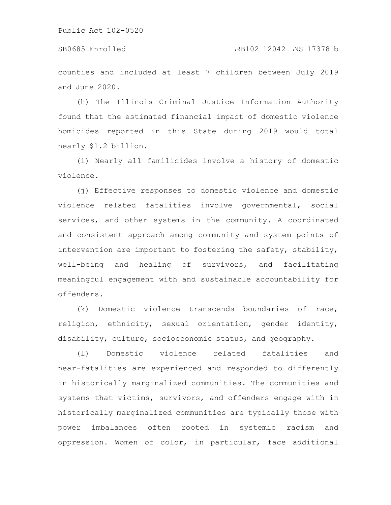counties and included at least 7 children between July 2019 and June 2020.

(h) The Illinois Criminal Justice Information Authority found that the estimated financial impact of domestic violence homicides reported in this State during 2019 would total nearly \$1.2 billion.

(i) Nearly all familicides involve a history of domestic violence.

(j) Effective responses to domestic violence and domestic violence related fatalities involve governmental, social services, and other systems in the community. A coordinated and consistent approach among community and system points of intervention are important to fostering the safety, stability, well-being and healing of survivors, and facilitating meaningful engagement with and sustainable accountability for offenders.

(k) Domestic violence transcends boundaries of race, religion, ethnicity, sexual orientation, gender identity, disability, culture, socioeconomic status, and geography.

(l) Domestic violence related fatalities and near-fatalities are experienced and responded to differently in historically marginalized communities. The communities and systems that victims, survivors, and offenders engage with in historically marginalized communities are typically those with power imbalances often rooted in systemic racism and oppression. Women of color, in particular, face additional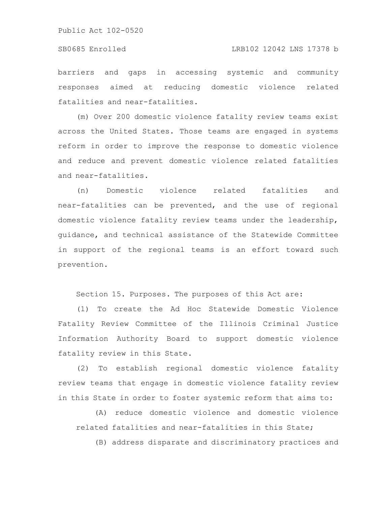barriers and gaps in accessing systemic and community responses aimed at reducing domestic violence related fatalities and near-fatalities.

(m) Over 200 domestic violence fatality review teams exist across the United States. Those teams are engaged in systems reform in order to improve the response to domestic violence and reduce and prevent domestic violence related fatalities and near-fatalities.

(n) Domestic violence related fatalities and near-fatalities can be prevented, and the use of regional domestic violence fatality review teams under the leadership, guidance, and technical assistance of the Statewide Committee in support of the regional teams is an effort toward such prevention.

Section 15. Purposes. The purposes of this Act are:

(1) To create the Ad Hoc Statewide Domestic Violence Fatality Review Committee of the Illinois Criminal Justice Information Authority Board to support domestic violence fatality review in this State.

(2) To establish regional domestic violence fatality review teams that engage in domestic violence fatality review in this State in order to foster systemic reform that aims to:

(A) reduce domestic violence and domestic violence related fatalities and near-fatalities in this State;

(B) address disparate and discriminatory practices and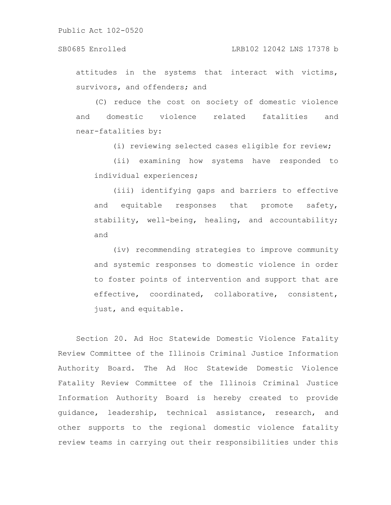attitudes in the systems that interact with victims, survivors, and offenders; and

(C) reduce the cost on society of domestic violence and domestic violence related fatalities and near-fatalities by:

(i) reviewing selected cases eligible for review;

(ii) examining how systems have responded to individual experiences;

(iii) identifying gaps and barriers to effective and equitable responses that promote safety, stability, well-being, healing, and accountability; and

(iv) recommending strategies to improve community and systemic responses to domestic violence in order to foster points of intervention and support that are effective, coordinated, collaborative, consistent, just, and equitable.

Section 20. Ad Hoc Statewide Domestic Violence Fatality Review Committee of the Illinois Criminal Justice Information Authority Board. The Ad Hoc Statewide Domestic Violence Fatality Review Committee of the Illinois Criminal Justice Information Authority Board is hereby created to provide guidance, leadership, technical assistance, research, and other supports to the regional domestic violence fatality review teams in carrying out their responsibilities under this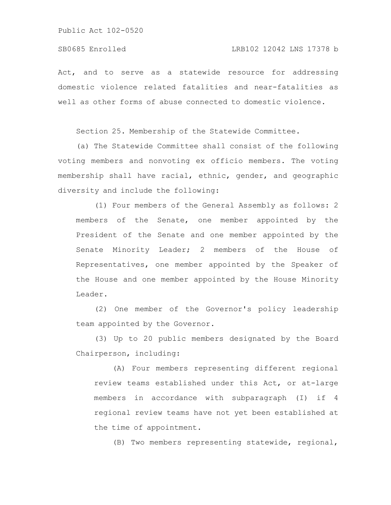Act, and to serve as a statewide resource for addressing domestic violence related fatalities and near-fatalities as well as other forms of abuse connected to domestic violence.

Section 25. Membership of the Statewide Committee.

(a) The Statewide Committee shall consist of the following voting members and nonvoting ex officio members. The voting membership shall have racial, ethnic, gender, and geographic diversity and include the following:

(1) Four members of the General Assembly as follows: 2 members of the Senate, one member appointed by the President of the Senate and one member appointed by the Senate Minority Leader; 2 members of the House of Representatives, one member appointed by the Speaker of the House and one member appointed by the House Minority Leader.

(2) One member of the Governor's policy leadership team appointed by the Governor.

(3) Up to 20 public members designated by the Board Chairperson, including:

(A) Four members representing different regional review teams established under this Act, or at-large members in accordance with subparagraph (I) if 4 regional review teams have not yet been established at the time of appointment.

(B) Two members representing statewide, regional,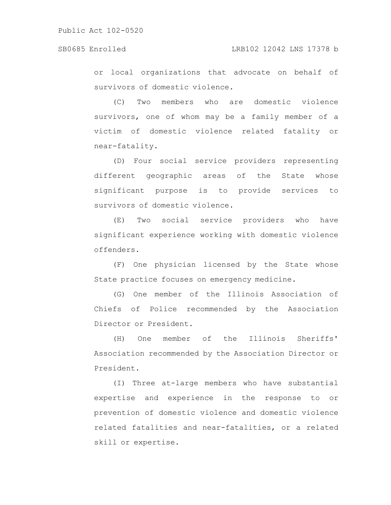or local organizations that advocate on behalf of survivors of domestic violence.

(C) Two members who are domestic violence survivors, one of whom may be a family member of a victim of domestic violence related fatality or near-fatality.

(D) Four social service providers representing different geographic areas of the State whose significant purpose is to provide services to survivors of domestic violence.

(E) Two social service providers who have significant experience working with domestic violence offenders.

(F) One physician licensed by the State whose State practice focuses on emergency medicine.

(G) One member of the Illinois Association of Chiefs of Police recommended by the Association Director or President.

(H) One member of the Illinois Sheriffs' Association recommended by the Association Director or President.

(I) Three at-large members who have substantial expertise and experience in the response to or prevention of domestic violence and domestic violence related fatalities and near-fatalities, or a related skill or expertise.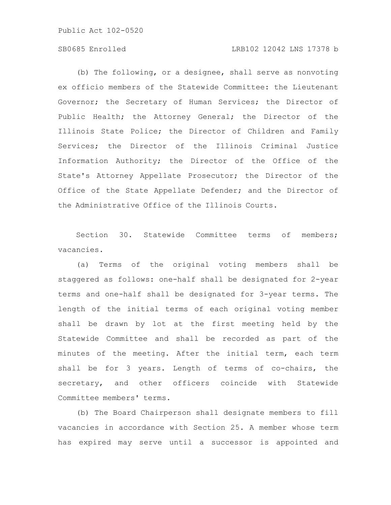### SB0685 Enrolled LRB102 12042 LNS 17378 b

(b) The following, or a designee, shall serve as nonvoting ex officio members of the Statewide Committee: the Lieutenant Governor; the Secretary of Human Services; the Director of Public Health; the Attorney General; the Director of the Illinois State Police; the Director of Children and Family Services; the Director of the Illinois Criminal Justice Information Authority; the Director of the Office of the State's Attorney Appellate Prosecutor; the Director of the Office of the State Appellate Defender; and the Director of the Administrative Office of the Illinois Courts.

Section 30. Statewide Committee terms of members; vacancies.

(a) Terms of the original voting members shall be staggered as follows: one-half shall be designated for 2-year terms and one-half shall be designated for 3-year terms. The length of the initial terms of each original voting member shall be drawn by lot at the first meeting held by the Statewide Committee and shall be recorded as part of the minutes of the meeting. After the initial term, each term shall be for 3 years. Length of terms of co-chairs, the secretary, and other officers coincide with Statewide Committee members' terms.

(b) The Board Chairperson shall designate members to fill vacancies in accordance with Section 25. A member whose term has expired may serve until a successor is appointed and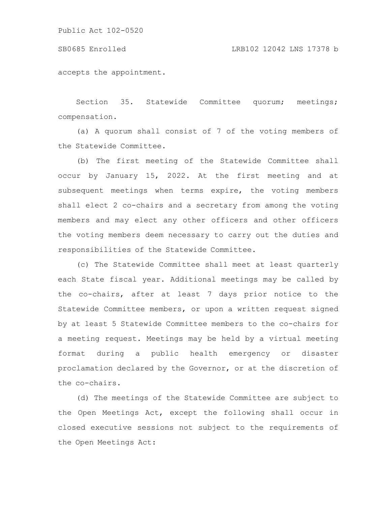#### SB0685 Enrolled LRB102 12042 LNS 17378 b

accepts the appointment.

Section 35. Statewide Committee quorum; meetings; compensation.

(a) A quorum shall consist of 7 of the voting members of the Statewide Committee.

(b) The first meeting of the Statewide Committee shall occur by January 15, 2022. At the first meeting and at subsequent meetings when terms expire, the voting members shall elect 2 co-chairs and a secretary from among the voting members and may elect any other officers and other officers the voting members deem necessary to carry out the duties and responsibilities of the Statewide Committee.

(c) The Statewide Committee shall meet at least quarterly each State fiscal year. Additional meetings may be called by the co-chairs, after at least 7 days prior notice to the Statewide Committee members, or upon a written request signed by at least 5 Statewide Committee members to the co-chairs for a meeting request. Meetings may be held by a virtual meeting format during a public health emergency or disaster proclamation declared by the Governor, or at the discretion of the co-chairs.

(d) The meetings of the Statewide Committee are subject to the Open Meetings Act, except the following shall occur in closed executive sessions not subject to the requirements of the Open Meetings Act: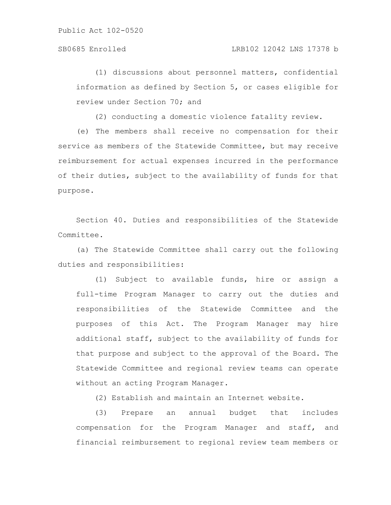(1) discussions about personnel matters, confidential information as defined by Section 5, or cases eligible for review under Section 70; and

(2) conducting a domestic violence fatality review.

(e) The members shall receive no compensation for their service as members of the Statewide Committee, but may receive reimbursement for actual expenses incurred in the performance of their duties, subject to the availability of funds for that purpose.

Section 40. Duties and responsibilities of the Statewide Committee.

(a) The Statewide Committee shall carry out the following duties and responsibilities:

(1) Subject to available funds, hire or assign a full-time Program Manager to carry out the duties and responsibilities of the Statewide Committee and the purposes of this Act. The Program Manager may hire additional staff, subject to the availability of funds for that purpose and subject to the approval of the Board. The Statewide Committee and regional review teams can operate without an acting Program Manager.

(2) Establish and maintain an Internet website.

(3) Prepare an annual budget that includes compensation for the Program Manager and staff, and financial reimbursement to regional review team members or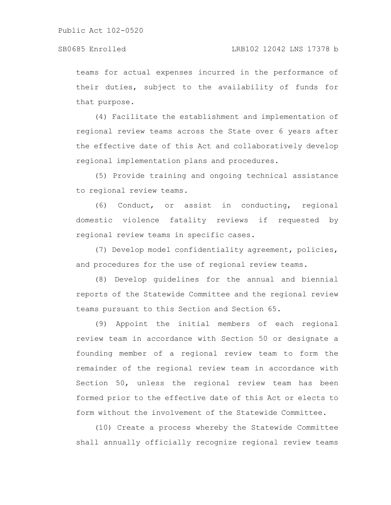teams for actual expenses incurred in the performance of their duties, subject to the availability of funds for that purpose.

(4) Facilitate the establishment and implementation of regional review teams across the State over 6 years after the effective date of this Act and collaboratively develop regional implementation plans and procedures.

(5) Provide training and ongoing technical assistance to regional review teams.

(6) Conduct, or assist in conducting, regional domestic violence fatality reviews if requested by regional review teams in specific cases.

(7) Develop model confidentiality agreement, policies, and procedures for the use of regional review teams.

(8) Develop guidelines for the annual and biennial reports of the Statewide Committee and the regional review teams pursuant to this Section and Section 65.

(9) Appoint the initial members of each regional review team in accordance with Section 50 or designate a founding member of a regional review team to form the remainder of the regional review team in accordance with Section 50, unless the regional review team has been formed prior to the effective date of this Act or elects to form without the involvement of the Statewide Committee.

(10) Create a process whereby the Statewide Committee shall annually officially recognize regional review teams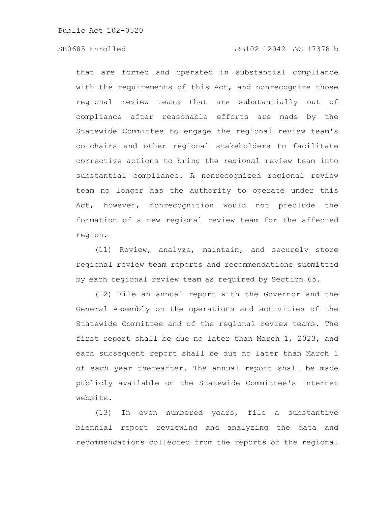that are formed and operated in substantial compliance with the requirements of this Act, and nonrecognize those regional review teams that are substantially out of compliance after reasonable efforts are made by the Statewide Committee to engage the regional review team's co-chairs and other regional stakeholders to facilitate corrective actions to bring the regional review team into substantial compliance. A nonrecognized regional review team no longer has the authority to operate under this Act, however, nonrecognition would not preclude the formation of a new regional review team for the affected region.

(11) Review, analyze, maintain, and securely store regional review team reports and recommendations submitted by each regional review team as required by Section 65.

(12) File an annual report with the Governor and the General Assembly on the operations and activities of the Statewide Committee and of the regional review teams. The first report shall be due no later than March 1, 2023, and each subsequent report shall be due no later than March 1 of each year thereafter. The annual report shall be made publicly available on the Statewide Committee's Internet website.

(13) In even numbered years, file a substantive biennial report reviewing and analyzing the data and recommendations collected from the reports of the regional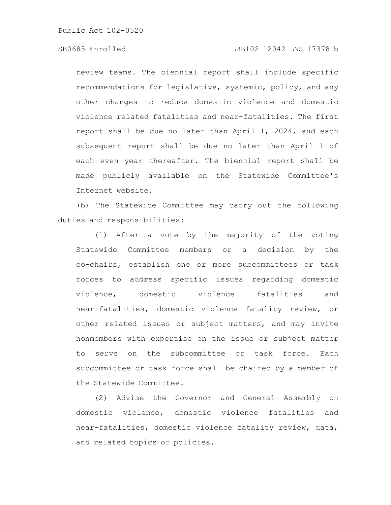review teams. The biennial report shall include specific recommendations for legislative, systemic, policy, and any other changes to reduce domestic violence and domestic violence related fatalities and near-fatalities. The first report shall be due no later than April 1, 2024, and each subsequent report shall be due no later than April 1 of each even year thereafter. The biennial report shall be made publicly available on the Statewide Committee's Internet website.

(b) The Statewide Committee may carry out the following duties and responsibilities:

(1) After a vote by the majority of the voting Statewide Committee members or a decision by the co-chairs, establish one or more subcommittees or task forces to address specific issues regarding domestic violence, domestic violence fatalities and near-fatalities, domestic violence fatality review, or other related issues or subject matters, and may invite nonmembers with expertise on the issue or subject matter to serve on the subcommittee or task force. Each subcommittee or task force shall be chaired by a member of the Statewide Committee.

(2) Advise the Governor and General Assembly on domestic violence, domestic violence fatalities and near-fatalities, domestic violence fatality review, data, and related topics or policies.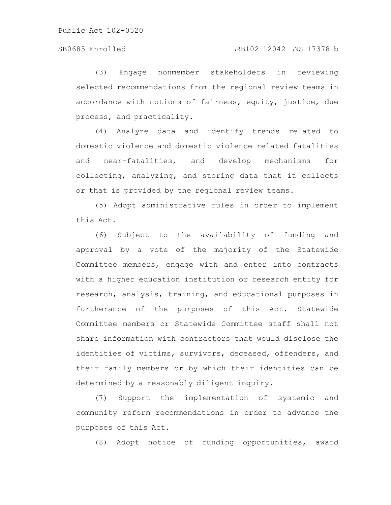(3) Engage nonmember stakeholders in reviewing selected recommendations from the regional review teams in accordance with notions of fairness, equity, justice, due process, and practicality.

(4) Analyze data and identify trends related to domestic violence and domestic violence related fatalities and near-fatalities, and develop mechanisms for collecting, analyzing, and storing data that it collects or that is provided by the regional review teams.

(5) Adopt administrative rules in order to implement this Act.

(6) Subject to the availability of funding and approval by a vote of the majority of the Statewide Committee members, engage with and enter into contracts with a higher education institution or research entity for research, analysis, training, and educational purposes in furtherance of the purposes of this Act. Statewide Committee members or Statewide Committee staff shall not share information with contractors that would disclose the identities of victims, survivors, deceased, offenders, and their family members or by which their identities can be determined by a reasonably diligent inquiry.

(7) Support the implementation of systemic and community reform recommendations in order to advance the purposes of this Act.

(8) Adopt notice of funding opportunities, award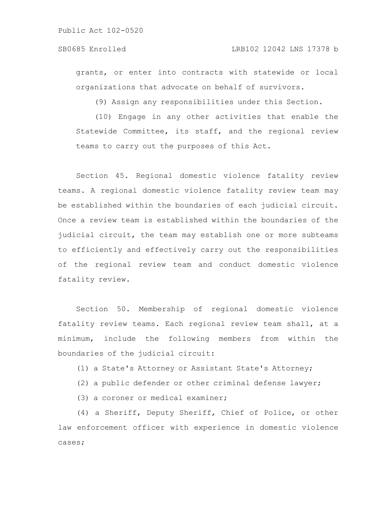grants, or enter into contracts with statewide or local organizations that advocate on behalf of survivors.

(9) Assign any responsibilities under this Section.

(10) Engage in any other activities that enable the Statewide Committee, its staff, and the regional review teams to carry out the purposes of this Act.

Section 45. Regional domestic violence fatality review teams. A regional domestic violence fatality review team may be established within the boundaries of each judicial circuit. Once a review team is established within the boundaries of the judicial circuit, the team may establish one or more subteams to efficiently and effectively carry out the responsibilities of the regional review team and conduct domestic violence fatality review.

Section 50. Membership of regional domestic violence fatality review teams. Each regional review team shall, at a minimum, include the following members from within the boundaries of the judicial circuit:

(1) a State's Attorney or Assistant State's Attorney;

(2) a public defender or other criminal defense lawyer;

(3) a coroner or medical examiner;

(4) a Sheriff, Deputy Sheriff, Chief of Police, or other law enforcement officer with experience in domestic violence cases;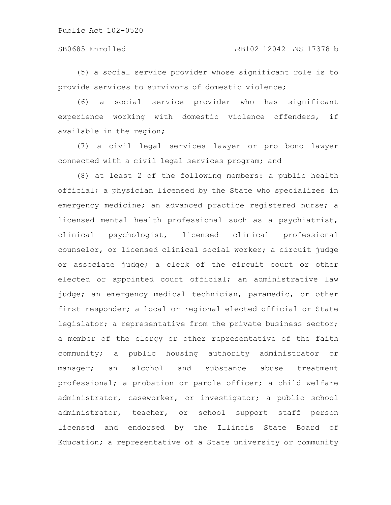### SB0685 Enrolled LRB102 12042 LNS 17378 b

(5) a social service provider whose significant role is to provide services to survivors of domestic violence;

(6) a social service provider who has significant experience working with domestic violence offenders, if available in the region;

(7) a civil legal services lawyer or pro bono lawyer connected with a civil legal services program; and

(8) at least 2 of the following members: a public health official; a physician licensed by the State who specializes in emergency medicine; an advanced practice registered nurse; a licensed mental health professional such as a psychiatrist, clinical psychologist, licensed clinical professional counselor, or licensed clinical social worker; a circuit judge or associate judge; a clerk of the circuit court or other elected or appointed court official; an administrative law judge; an emergency medical technician, paramedic, or other first responder; a local or regional elected official or State legislator; a representative from the private business sector; a member of the clergy or other representative of the faith community; a public housing authority administrator or manager; an alcohol and substance abuse treatment professional; a probation or parole officer; a child welfare administrator, caseworker, or investigator; a public school administrator, teacher, or school support staff person licensed and endorsed by the Illinois State Board of Education; a representative of a State university or community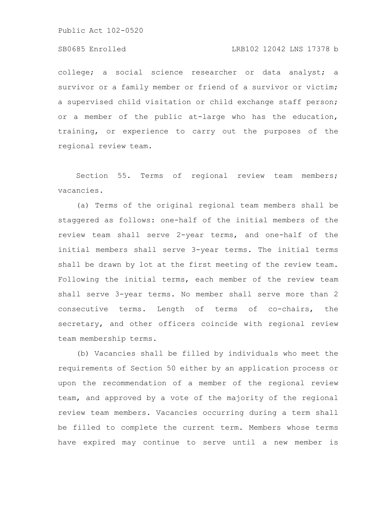#### SB0685 Enrolled LRB102 12042 LNS 17378 b

college; a social science researcher or data analyst; a survivor or a family member or friend of a survivor or victim; a supervised child visitation or child exchange staff person; or a member of the public at-large who has the education, training, or experience to carry out the purposes of the regional review team.

Section 55. Terms of regional review team members; vacancies.

(a) Terms of the original regional team members shall be staggered as follows: one-half of the initial members of the review team shall serve 2-year terms, and one-half of the initial members shall serve 3-year terms. The initial terms shall be drawn by lot at the first meeting of the review team. Following the initial terms, each member of the review team shall serve 3-year terms. No member shall serve more than 2 consecutive terms. Length of terms of co-chairs, the secretary, and other officers coincide with regional review team membership terms.

(b) Vacancies shall be filled by individuals who meet the requirements of Section 50 either by an application process or upon the recommendation of a member of the regional review team, and approved by a vote of the majority of the regional review team members. Vacancies occurring during a term shall be filled to complete the current term. Members whose terms have expired may continue to serve until a new member is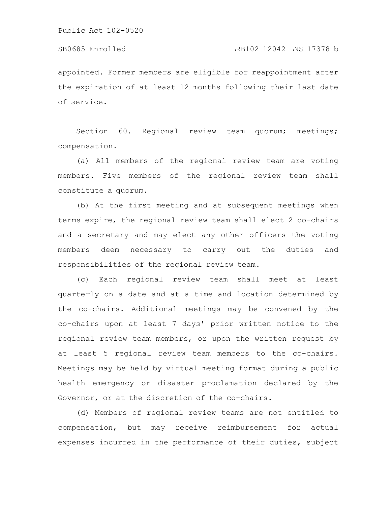appointed. Former members are eligible for reappointment after the expiration of at least 12 months following their last date of service.

Section 60. Regional review team quorum; meetings; compensation.

(a) All members of the regional review team are voting members. Five members of the regional review team shall constitute a quorum.

(b) At the first meeting and at subsequent meetings when terms expire, the regional review team shall elect 2 co-chairs and a secretary and may elect any other officers the voting members deem necessary to carry out the duties and responsibilities of the regional review team.

(c) Each regional review team shall meet at least quarterly on a date and at a time and location determined by the co-chairs. Additional meetings may be convened by the co-chairs upon at least 7 days' prior written notice to the regional review team members, or upon the written request by at least 5 regional review team members to the co-chairs. Meetings may be held by virtual meeting format during a public health emergency or disaster proclamation declared by the Governor, or at the discretion of the co-chairs.

(d) Members of regional review teams are not entitled to compensation, but may receive reimbursement for actual expenses incurred in the performance of their duties, subject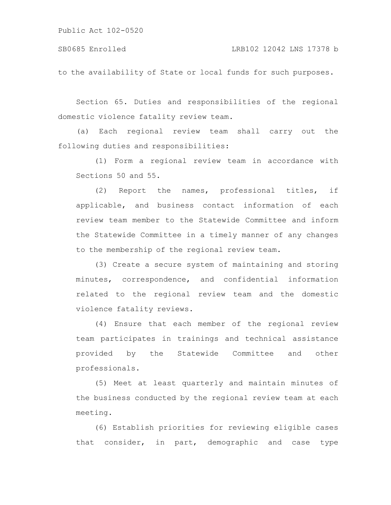to the availability of State or local funds for such purposes.

Section 65. Duties and responsibilities of the regional domestic violence fatality review team.

(a) Each regional review team shall carry out the following duties and responsibilities:

(1) Form a regional review team in accordance with Sections 50 and 55.

(2) Report the names, professional titles, if applicable, and business contact information of each review team member to the Statewide Committee and inform the Statewide Committee in a timely manner of any changes to the membership of the regional review team.

(3) Create a secure system of maintaining and storing minutes, correspondence, and confidential information related to the regional review team and the domestic violence fatality reviews.

(4) Ensure that each member of the regional review team participates in trainings and technical assistance provided by the Statewide Committee and other professionals.

(5) Meet at least quarterly and maintain minutes of the business conducted by the regional review team at each meeting.

(6) Establish priorities for reviewing eligible cases that consider, in part, demographic and case type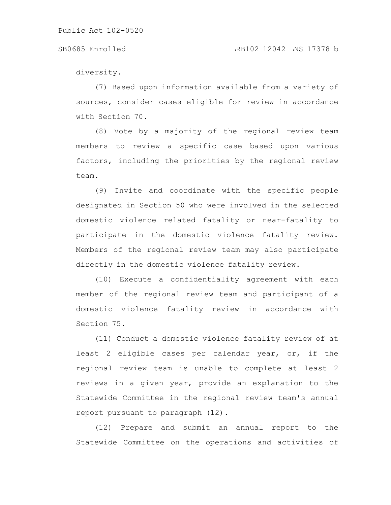#### SB0685 Enrolled LRB102 12042 LNS 17378 b

diversity.

(7) Based upon information available from a variety of sources, consider cases eligible for review in accordance with Section 70.

(8) Vote by a majority of the regional review team members to review a specific case based upon various factors, including the priorities by the regional review team.

(9) Invite and coordinate with the specific people designated in Section 50 who were involved in the selected domestic violence related fatality or near-fatality to participate in the domestic violence fatality review. Members of the regional review team may also participate directly in the domestic violence fatality review.

(10) Execute a confidentiality agreement with each member of the regional review team and participant of a domestic violence fatality review in accordance with Section 75.

(11) Conduct a domestic violence fatality review of at least 2 eligible cases per calendar year, or, if the regional review team is unable to complete at least 2 reviews in a given year, provide an explanation to the Statewide Committee in the regional review team's annual report pursuant to paragraph (12).

(12) Prepare and submit an annual report to the Statewide Committee on the operations and activities of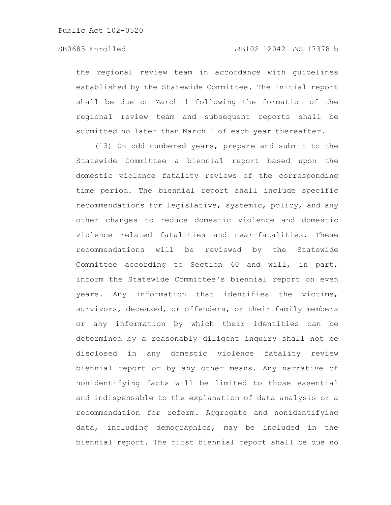### SB0685 Enrolled LRB102 12042 LNS 17378 b

the regional review team in accordance with guidelines established by the Statewide Committee. The initial report shall be due on March 1 following the formation of the regional review team and subsequent reports shall be submitted no later than March 1 of each year thereafter.

(13) On odd numbered years, prepare and submit to the Statewide Committee a biennial report based upon the domestic violence fatality reviews of the corresponding time period. The biennial report shall include specific recommendations for legislative, systemic, policy, and any other changes to reduce domestic violence and domestic violence related fatalities and near-fatalities. These recommendations will be reviewed by the Statewide Committee according to Section 40 and will, in part, inform the Statewide Committee's biennial report on even years. Any information that identifies the victims, survivors, deceased, or offenders, or their family members or any information by which their identities can be determined by a reasonably diligent inquiry shall not be disclosed in any domestic violence fatality review biennial report or by any other means. Any narrative of nonidentifying facts will be limited to those essential and indispensable to the explanation of data analysis or a recommendation for reform. Aggregate and nonidentifying data, including demographics, may be included in the biennial report. The first biennial report shall be due no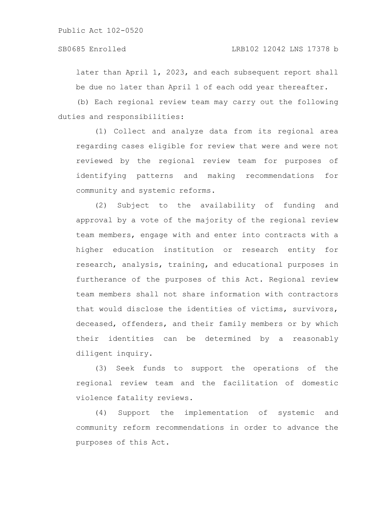later than April 1, 2023, and each subsequent report shall be due no later than April 1 of each odd year thereafter.

(b) Each regional review team may carry out the following duties and responsibilities:

(1) Collect and analyze data from its regional area regarding cases eligible for review that were and were not reviewed by the regional review team for purposes of identifying patterns and making recommendations for community and systemic reforms.

(2) Subject to the availability of funding and approval by a vote of the majority of the regional review team members, engage with and enter into contracts with a higher education institution or research entity for research, analysis, training, and educational purposes in furtherance of the purposes of this Act. Regional review team members shall not share information with contractors that would disclose the identities of victims, survivors, deceased, offenders, and their family members or by which their identities can be determined by a reasonably diligent inquiry.

(3) Seek funds to support the operations of the regional review team and the facilitation of domestic violence fatality reviews.

(4) Support the implementation of systemic and community reform recommendations in order to advance the purposes of this Act.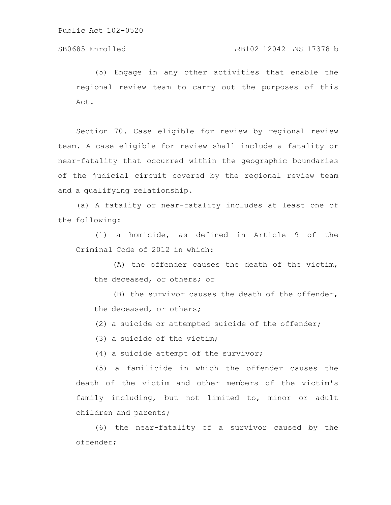(5) Engage in any other activities that enable the regional review team to carry out the purposes of this Act.

Section 70. Case eligible for review by regional review team. A case eligible for review shall include a fatality or near-fatality that occurred within the geographic boundaries of the judicial circuit covered by the regional review team and a qualifying relationship.

(a) A fatality or near-fatality includes at least one of the following:

(1) a homicide, as defined in Article 9 of the Criminal Code of 2012 in which:

(A) the offender causes the death of the victim, the deceased, or others; or

(B) the survivor causes the death of the offender, the deceased, or others;

(2) a suicide or attempted suicide of the offender;

(3) a suicide of the victim;

(4) a suicide attempt of the survivor;

(5) a familicide in which the offender causes the death of the victim and other members of the victim's family including, but not limited to, minor or adult children and parents;

(6) the near-fatality of a survivor caused by the offender;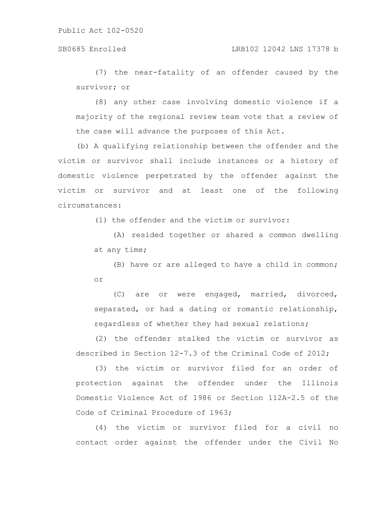#### SB0685 Enrolled LRB102 12042 LNS 17378 b

(7) the near-fatality of an offender caused by the survivor; or

(8) any other case involving domestic violence if a majority of the regional review team vote that a review of the case will advance the purposes of this Act.

(b) A qualifying relationship between the offender and the victim or survivor shall include instances or a history of domestic violence perpetrated by the offender against the victim or survivor and at least one of the following circumstances:

(1) the offender and the victim or survivor:

(A) resided together or shared a common dwelling at any time;

(B) have or are alleged to have a child in common; or

(C) are or were engaged, married, divorced, separated, or had a dating or romantic relationship, regardless of whether they had sexual relations;

(2) the offender stalked the victim or survivor as described in Section 12-7.3 of the Criminal Code of 2012;

(3) the victim or survivor filed for an order of protection against the offender under the Illinois Domestic Violence Act of 1986 or Section 112A-2.5 of the Code of Criminal Procedure of 1963;

(4) the victim or survivor filed for a civil no contact order against the offender under the Civil No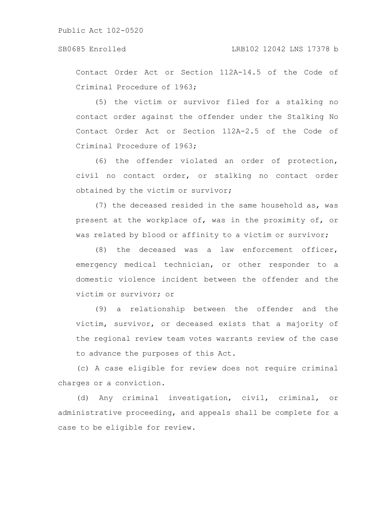Contact Order Act or Section 112A-14.5 of the Code of Criminal Procedure of 1963;

(5) the victim or survivor filed for a stalking no contact order against the offender under the Stalking No Contact Order Act or Section 112A-2.5 of the Code of Criminal Procedure of 1963;

(6) the offender violated an order of protection, civil no contact order, or stalking no contact order obtained by the victim or survivor;

(7) the deceased resided in the same household as, was present at the workplace of, was in the proximity of, or was related by blood or affinity to a victim or survivor;

(8) the deceased was a law enforcement officer, emergency medical technician, or other responder to a domestic violence incident between the offender and the victim or survivor; or

(9) a relationship between the offender and the victim, survivor, or deceased exists that a majority of the regional review team votes warrants review of the case to advance the purposes of this Act.

(c) A case eligible for review does not require criminal charges or a conviction.

(d) Any criminal investigation, civil, criminal, or administrative proceeding, and appeals shall be complete for a case to be eligible for review.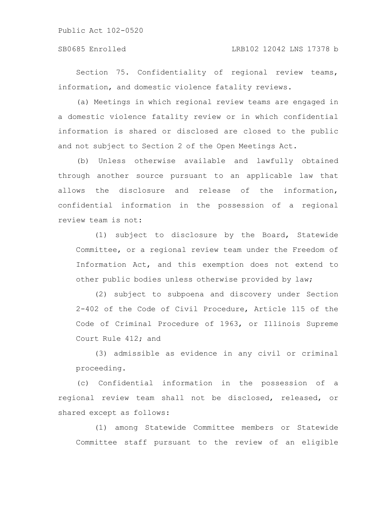### SB0685 Enrolled LRB102 12042 LNS 17378 b

Section 75. Confidentiality of regional review teams, information, and domestic violence fatality reviews.

(a) Meetings in which regional review teams are engaged in a domestic violence fatality review or in which confidential information is shared or disclosed are closed to the public and not subject to Section 2 of the Open Meetings Act.

(b) Unless otherwise available and lawfully obtained through another source pursuant to an applicable law that allows the disclosure and release of the information, confidential information in the possession of a regional review team is not:

(1) subject to disclosure by the Board, Statewide Committee, or a regional review team under the Freedom of Information Act, and this exemption does not extend to other public bodies unless otherwise provided by law;

(2) subject to subpoena and discovery under Section 2-402 of the Code of Civil Procedure, Article 115 of the Code of Criminal Procedure of 1963, or Illinois Supreme Court Rule 412; and

(3) admissible as evidence in any civil or criminal proceeding.

(c) Confidential information in the possession of a regional review team shall not be disclosed, released, or shared except as follows:

(1) among Statewide Committee members or Statewide Committee staff pursuant to the review of an eligible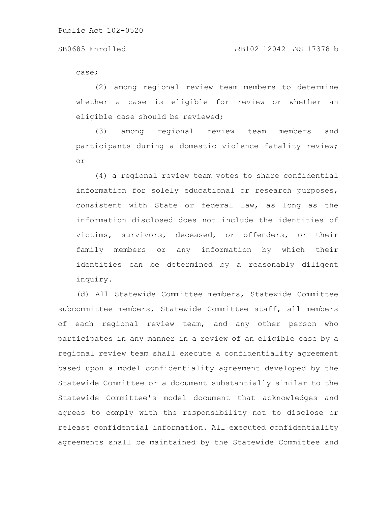case;

(2) among regional review team members to determine whether a case is eligible for review or whether an eligible case should be reviewed;

(3) among regional review team members and participants during a domestic violence fatality review; or

(4) a regional review team votes to share confidential information for solely educational or research purposes, consistent with State or federal law, as long as the information disclosed does not include the identities of victims, survivors, deceased, or offenders, or their family members or any information by which their identities can be determined by a reasonably diligent inquiry.

(d) All Statewide Committee members, Statewide Committee subcommittee members, Statewide Committee staff, all members of each regional review team, and any other person who participates in any manner in a review of an eligible case by a regional review team shall execute a confidentiality agreement based upon a model confidentiality agreement developed by the Statewide Committee or a document substantially similar to the Statewide Committee's model document that acknowledges and agrees to comply with the responsibility not to disclose or release confidential information. All executed confidentiality agreements shall be maintained by the Statewide Committee and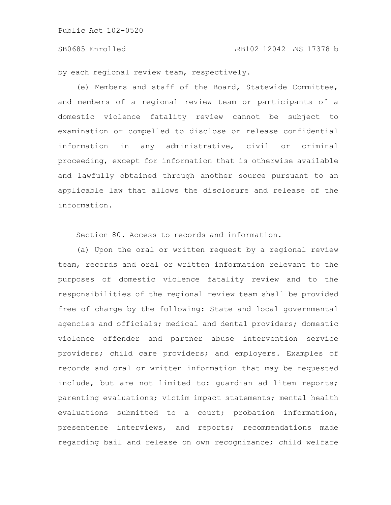#### SB0685 Enrolled LRB102 12042 LNS 17378 b

by each regional review team, respectively.

(e) Members and staff of the Board, Statewide Committee, and members of a regional review team or participants of a domestic violence fatality review cannot be subject to examination or compelled to disclose or release confidential information in any administrative, civil or criminal proceeding, except for information that is otherwise available and lawfully obtained through another source pursuant to an applicable law that allows the disclosure and release of the information.

Section 80. Access to records and information.

(a) Upon the oral or written request by a regional review team, records and oral or written information relevant to the purposes of domestic violence fatality review and to the responsibilities of the regional review team shall be provided free of charge by the following: State and local governmental agencies and officials; medical and dental providers; domestic violence offender and partner abuse intervention service providers; child care providers; and employers. Examples of records and oral or written information that may be requested include, but are not limited to: guardian ad litem reports; parenting evaluations; victim impact statements; mental health evaluations submitted to a court; probation information, presentence interviews, and reports; recommendations made regarding bail and release on own recognizance; child welfare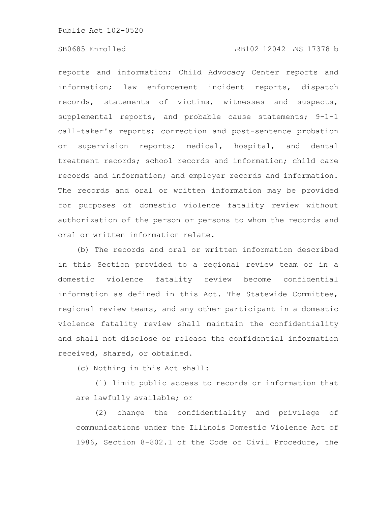### SB0685 Enrolled LRB102 12042 LNS 17378 b

reports and information; Child Advocacy Center reports and information; law enforcement incident reports, dispatch records, statements of victims, witnesses and suspects, supplemental reports, and probable cause statements; 9-1-1 call-taker's reports; correction and post-sentence probation or supervision reports; medical, hospital, and dental treatment records; school records and information; child care records and information; and employer records and information. The records and oral or written information may be provided for purposes of domestic violence fatality review without authorization of the person or persons to whom the records and oral or written information relate.

(b) The records and oral or written information described in this Section provided to a regional review team or in a domestic violence fatality review become confidential information as defined in this Act. The Statewide Committee, regional review teams, and any other participant in a domestic violence fatality review shall maintain the confidentiality and shall not disclose or release the confidential information received, shared, or obtained.

(c) Nothing in this Act shall:

(1) limit public access to records or information that are lawfully available; or

(2) change the confidentiality and privilege of communications under the Illinois Domestic Violence Act of 1986, Section 8-802.1 of the Code of Civil Procedure, the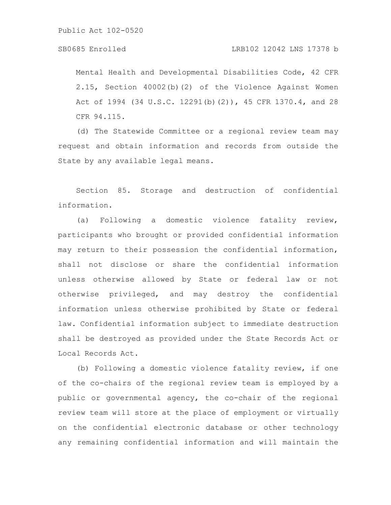### SB0685 Enrolled LRB102 12042 LNS 17378 b

Mental Health and Developmental Disabilities Code, 42 CFR 2.15, Section 40002(b)(2) of the Violence Against Women Act of 1994 (34 U.S.C. 12291(b)(2)), 45 CFR 1370.4, and 28 CFR 94.115.

(d) The Statewide Committee or a regional review team may request and obtain information and records from outside the State by any available legal means.

Section 85. Storage and destruction of confidential information.

(a) Following a domestic violence fatality review, participants who brought or provided confidential information may return to their possession the confidential information, shall not disclose or share the confidential information unless otherwise allowed by State or federal law or not otherwise privileged, and may destroy the confidential information unless otherwise prohibited by State or federal law. Confidential information subject to immediate destruction shall be destroyed as provided under the State Records Act or Local Records Act.

(b) Following a domestic violence fatality review, if one of the co-chairs of the regional review team is employed by a public or governmental agency, the co-chair of the regional review team will store at the place of employment or virtually on the confidential electronic database or other technology any remaining confidential information and will maintain the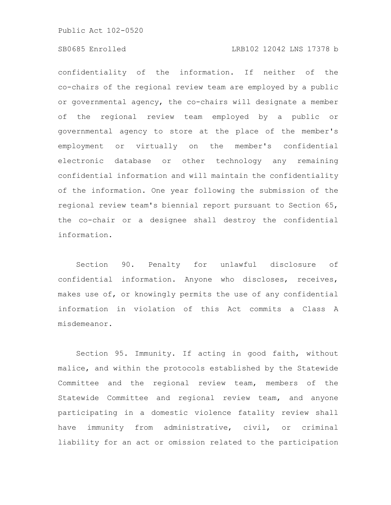#### SB0685 Enrolled LRB102 12042 LNS 17378 b

confidentiality of the information. If neither of the co-chairs of the regional review team are employed by a public or governmental agency, the co-chairs will designate a member of the regional review team employed by a public or governmental agency to store at the place of the member's employment or virtually on the member's confidential electronic database or other technology any remaining confidential information and will maintain the confidentiality of the information. One year following the submission of the regional review team's biennial report pursuant to Section 65, the co-chair or a designee shall destroy the confidential information.

Section 90. Penalty for unlawful disclosure of confidential information. Anyone who discloses, receives, makes use of, or knowingly permits the use of any confidential information in violation of this Act commits a Class A misdemeanor.

Section 95. Immunity. If acting in good faith, without malice, and within the protocols established by the Statewide Committee and the regional review team, members of the Statewide Committee and regional review team, and anyone participating in a domestic violence fatality review shall have immunity from administrative, civil, or criminal liability for an act or omission related to the participation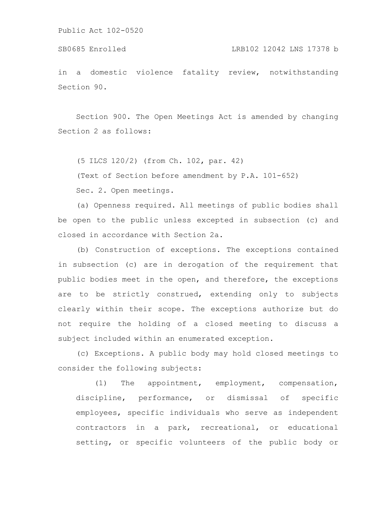```
Public Act 102-0520
```
in a domestic violence fatality review, notwithstanding Section 90.

Section 900. The Open Meetings Act is amended by changing Section 2 as follows:

(5 ILCS 120/2) (from Ch. 102, par. 42)

(Text of Section before amendment by P.A. 101-652)

Sec. 2. Open meetings.

(a) Openness required. All meetings of public bodies shall be open to the public unless excepted in subsection (c) and closed in accordance with Section 2a.

(b) Construction of exceptions. The exceptions contained in subsection (c) are in derogation of the requirement that public bodies meet in the open, and therefore, the exceptions are to be strictly construed, extending only to subjects clearly within their scope. The exceptions authorize but do not require the holding of a closed meeting to discuss a subject included within an enumerated exception.

(c) Exceptions. A public body may hold closed meetings to consider the following subjects:

(1) The appointment, employment, compensation, discipline, performance, or dismissal of specific employees, specific individuals who serve as independent contractors in a park, recreational, or educational setting, or specific volunteers of the public body or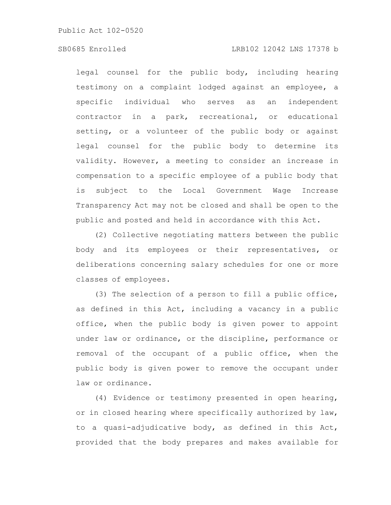### SB0685 Enrolled LRB102 12042 LNS 17378 b

legal counsel for the public body, including hearing testimony on a complaint lodged against an employee, a specific individual who serves as an independent contractor in a park, recreational, or educational setting, or a volunteer of the public body or against legal counsel for the public body to determine its validity. However, a meeting to consider an increase in compensation to a specific employee of a public body that is subject to the Local Government Wage Increase Transparency Act may not be closed and shall be open to the public and posted and held in accordance with this Act.

(2) Collective negotiating matters between the public body and its employees or their representatives, or deliberations concerning salary schedules for one or more classes of employees.

(3) The selection of a person to fill a public office, as defined in this Act, including a vacancy in a public office, when the public body is given power to appoint under law or ordinance, or the discipline, performance or removal of the occupant of a public office, when the public body is given power to remove the occupant under law or ordinance.

(4) Evidence or testimony presented in open hearing, or in closed hearing where specifically authorized by law, to a quasi-adjudicative body, as defined in this Act, provided that the body prepares and makes available for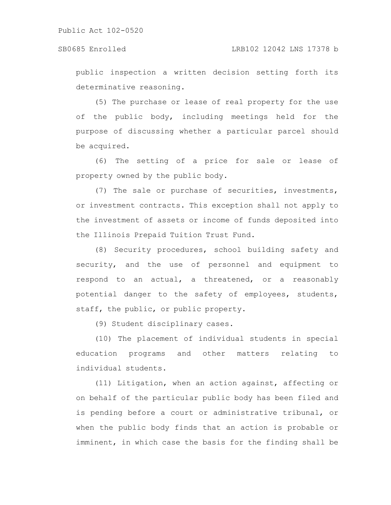public inspection a written decision setting forth its determinative reasoning.

(5) The purchase or lease of real property for the use of the public body, including meetings held for the purpose of discussing whether a particular parcel should be acquired.

(6) The setting of a price for sale or lease of property owned by the public body.

(7) The sale or purchase of securities, investments, or investment contracts. This exception shall not apply to the investment of assets or income of funds deposited into the Illinois Prepaid Tuition Trust Fund.

(8) Security procedures, school building safety and security, and the use of personnel and equipment to respond to an actual, a threatened, or a reasonably potential danger to the safety of employees, students, staff, the public, or public property.

(9) Student disciplinary cases.

(10) The placement of individual students in special education programs and other matters relating to individual students.

(11) Litigation, when an action against, affecting or on behalf of the particular public body has been filed and is pending before a court or administrative tribunal, or when the public body finds that an action is probable or imminent, in which case the basis for the finding shall be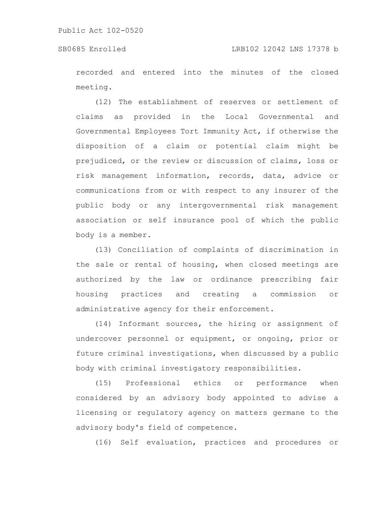recorded and entered into the minutes of the closed meeting.

(12) The establishment of reserves or settlement of claims as provided in the Local Governmental and Governmental Employees Tort Immunity Act, if otherwise the disposition of a claim or potential claim might be prejudiced, or the review or discussion of claims, loss or risk management information, records, data, advice or communications from or with respect to any insurer of the public body or any intergovernmental risk management association or self insurance pool of which the public body is a member.

(13) Conciliation of complaints of discrimination in the sale or rental of housing, when closed meetings are authorized by the law or ordinance prescribing fair housing practices and creating a commission or administrative agency for their enforcement.

(14) Informant sources, the hiring or assignment of undercover personnel or equipment, or ongoing, prior or future criminal investigations, when discussed by a public body with criminal investigatory responsibilities.

(15) Professional ethics or performance when considered by an advisory body appointed to advise a licensing or regulatory agency on matters germane to the advisory body's field of competence.

(16) Self evaluation, practices and procedures or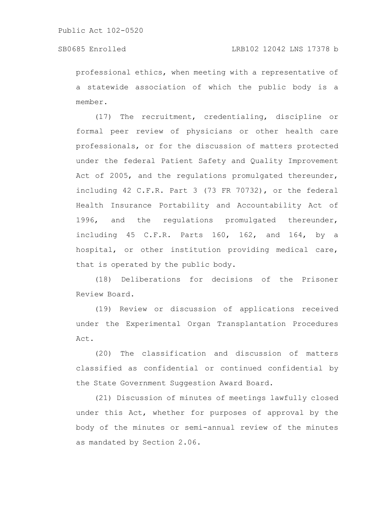professional ethics, when meeting with a representative of a statewide association of which the public body is a member.

(17) The recruitment, credentialing, discipline or formal peer review of physicians or other health care professionals, or for the discussion of matters protected under the federal Patient Safety and Quality Improvement Act of 2005, and the regulations promulgated thereunder, including 42 C.F.R. Part 3 (73 FR 70732), or the federal Health Insurance Portability and Accountability Act of 1996, and the regulations promulgated thereunder, including 45 C.F.R. Parts 160, 162, and 164, by a hospital, or other institution providing medical care, that is operated by the public body.

(18) Deliberations for decisions of the Prisoner Review Board.

(19) Review or discussion of applications received under the Experimental Organ Transplantation Procedures Act.

(20) The classification and discussion of matters classified as confidential or continued confidential by the State Government Suggestion Award Board.

(21) Discussion of minutes of meetings lawfully closed under this Act, whether for purposes of approval by the body of the minutes or semi-annual review of the minutes as mandated by Section 2.06.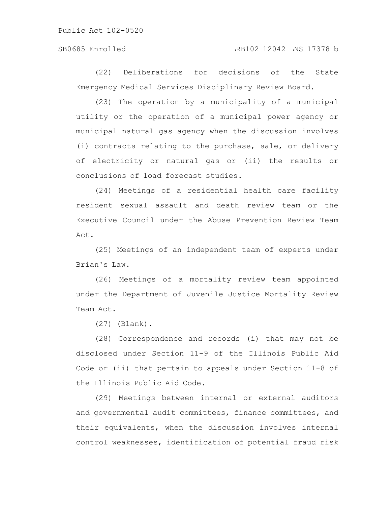#### SB0685 Enrolled LRB102 12042 LNS 17378 b

(22) Deliberations for decisions of the State Emergency Medical Services Disciplinary Review Board.

(23) The operation by a municipality of a municipal utility or the operation of a municipal power agency or municipal natural gas agency when the discussion involves (i) contracts relating to the purchase, sale, or delivery of electricity or natural gas or (ii) the results or conclusions of load forecast studies.

(24) Meetings of a residential health care facility resident sexual assault and death review team or the Executive Council under the Abuse Prevention Review Team Act.

(25) Meetings of an independent team of experts under Brian's Law.

(26) Meetings of a mortality review team appointed under the Department of Juvenile Justice Mortality Review Team Act.

(27) (Blank).

(28) Correspondence and records (i) that may not be disclosed under Section 11-9 of the Illinois Public Aid Code or (ii) that pertain to appeals under Section 11-8 of the Illinois Public Aid Code.

(29) Meetings between internal or external auditors and governmental audit committees, finance committees, and their equivalents, when the discussion involves internal control weaknesses, identification of potential fraud risk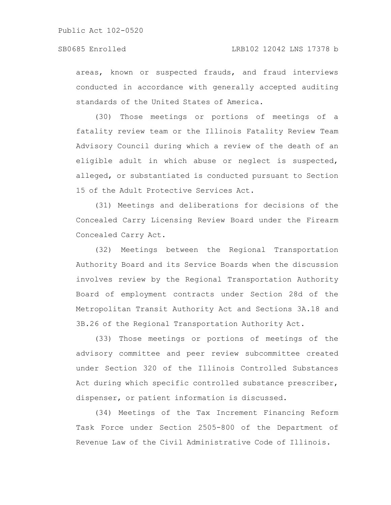areas, known or suspected frauds, and fraud interviews conducted in accordance with generally accepted auditing standards of the United States of America.

(30) Those meetings or portions of meetings of a fatality review team or the Illinois Fatality Review Team Advisory Council during which a review of the death of an eligible adult in which abuse or neglect is suspected, alleged, or substantiated is conducted pursuant to Section 15 of the Adult Protective Services Act.

(31) Meetings and deliberations for decisions of the Concealed Carry Licensing Review Board under the Firearm Concealed Carry Act.

(32) Meetings between the Regional Transportation Authority Board and its Service Boards when the discussion involves review by the Regional Transportation Authority Board of employment contracts under Section 28d of the Metropolitan Transit Authority Act and Sections 3A.18 and 3B.26 of the Regional Transportation Authority Act.

(33) Those meetings or portions of meetings of the advisory committee and peer review subcommittee created under Section 320 of the Illinois Controlled Substances Act during which specific controlled substance prescriber, dispenser, or patient information is discussed.

(34) Meetings of the Tax Increment Financing Reform Task Force under Section 2505-800 of the Department of Revenue Law of the Civil Administrative Code of Illinois.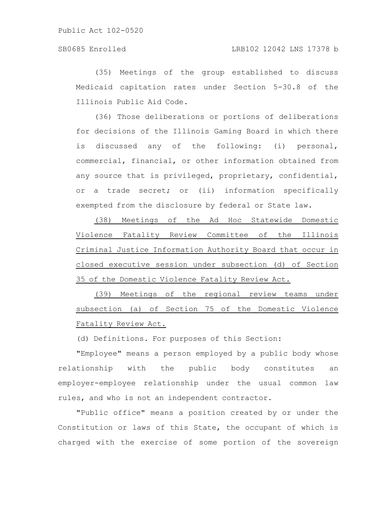### SB0685 Enrolled LRB102 12042 LNS 17378 b

(35) Meetings of the group established to discuss Medicaid capitation rates under Section 5-30.8 of the Illinois Public Aid Code.

(36) Those deliberations or portions of deliberations for decisions of the Illinois Gaming Board in which there is discussed any of the following: (i) personal, commercial, financial, or other information obtained from any source that is privileged, proprietary, confidential, or a trade secret; or (ii) information specifically exempted from the disclosure by federal or State law.

(38) Meetings of the Ad Hoc Statewide Domestic Violence Fatality Review Committee of the Illinois Criminal Justice Information Authority Board that occur in closed executive session under subsection (d) of Section 35 of the Domestic Violence Fatality Review Act.

(39) Meetings of the regional review teams under subsection (a) of Section 75 of the Domestic Violence Fatality Review Act.

(d) Definitions. For purposes of this Section:

"Employee" means a person employed by a public body whose relationship with the public body constitutes an employer-employee relationship under the usual common law rules, and who is not an independent contractor.

"Public office" means a position created by or under the Constitution or laws of this State, the occupant of which is charged with the exercise of some portion of the sovereign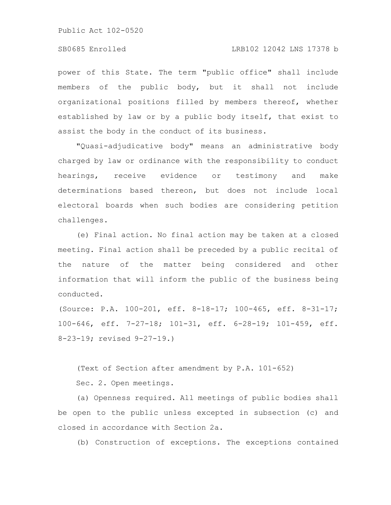#### SB0685 Enrolled LRB102 12042 LNS 17378 b

power of this State. The term "public office" shall include members of the public body, but it shall not include organizational positions filled by members thereof, whether established by law or by a public body itself, that exist to assist the body in the conduct of its business.

"Quasi-adjudicative body" means an administrative body charged by law or ordinance with the responsibility to conduct hearings, receive evidence or testimony and make determinations based thereon, but does not include local electoral boards when such bodies are considering petition challenges.

(e) Final action. No final action may be taken at a closed meeting. Final action shall be preceded by a public recital of the nature of the matter being considered and other information that will inform the public of the business being conducted.

(Source: P.A. 100-201, eff. 8-18-17; 100-465, eff. 8-31-17; 100-646, eff. 7-27-18; 101-31, eff. 6-28-19; 101-459, eff. 8-23-19; revised 9-27-19.)

(Text of Section after amendment by P.A. 101-652)

Sec. 2. Open meetings.

(a) Openness required. All meetings of public bodies shall be open to the public unless excepted in subsection (c) and closed in accordance with Section 2a.

(b) Construction of exceptions. The exceptions contained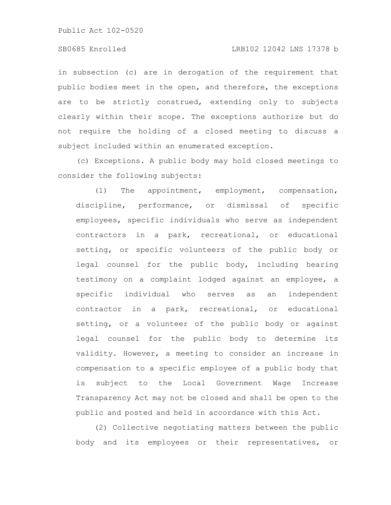### SB0685 Enrolled LRB102 12042 LNS 17378 b

in subsection (c) are in derogation of the requirement that public bodies meet in the open, and therefore, the exceptions are to be strictly construed, extending only to subjects clearly within their scope. The exceptions authorize but do not require the holding of a closed meeting to discuss a subject included within an enumerated exception.

(c) Exceptions. A public body may hold closed meetings to consider the following subjects:

(1) The appointment, employment, compensation, discipline, performance, or dismissal of specific employees, specific individuals who serve as independent contractors in a park, recreational, or educational setting, or specific volunteers of the public body or legal counsel for the public body, including hearing testimony on a complaint lodged against an employee, a specific individual who serves as an independent contractor in a park, recreational, or educational setting, or a volunteer of the public body or against legal counsel for the public body to determine its validity. However, a meeting to consider an increase in compensation to a specific employee of a public body that is subject to the Local Government Wage Increase Transparency Act may not be closed and shall be open to the public and posted and held in accordance with this Act.

(2) Collective negotiating matters between the public body and its employees or their representatives, or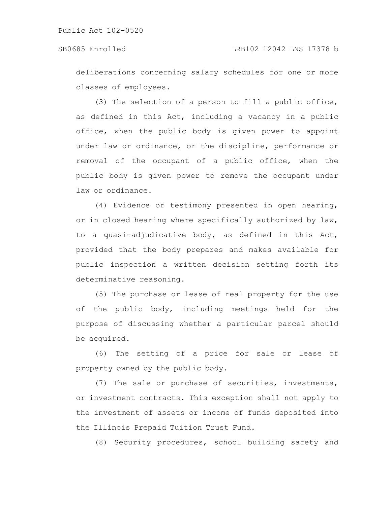deliberations concerning salary schedules for one or more classes of employees.

(3) The selection of a person to fill a public office, as defined in this Act, including a vacancy in a public office, when the public body is given power to appoint under law or ordinance, or the discipline, performance or removal of the occupant of a public office, when the public body is given power to remove the occupant under law or ordinance.

(4) Evidence or testimony presented in open hearing, or in closed hearing where specifically authorized by law, to a quasi-adjudicative body, as defined in this Act, provided that the body prepares and makes available for public inspection a written decision setting forth its determinative reasoning.

(5) The purchase or lease of real property for the use of the public body, including meetings held for the purpose of discussing whether a particular parcel should be acquired.

(6) The setting of a price for sale or lease of property owned by the public body.

(7) The sale or purchase of securities, investments, or investment contracts. This exception shall not apply to the investment of assets or income of funds deposited into the Illinois Prepaid Tuition Trust Fund.

(8) Security procedures, school building safety and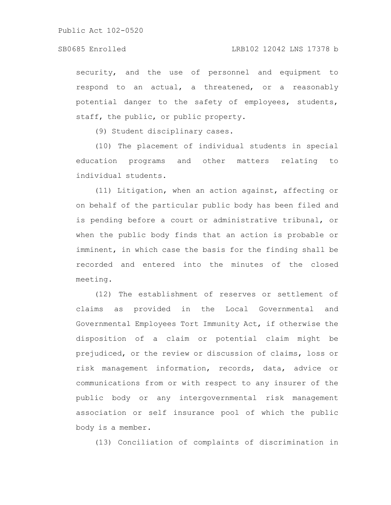security, and the use of personnel and equipment to respond to an actual, a threatened, or a reasonably potential danger to the safety of employees, students, staff, the public, or public property.

(9) Student disciplinary cases.

(10) The placement of individual students in special education programs and other matters relating to individual students.

(11) Litigation, when an action against, affecting or on behalf of the particular public body has been filed and is pending before a court or administrative tribunal, or when the public body finds that an action is probable or imminent, in which case the basis for the finding shall be recorded and entered into the minutes of the closed meeting.

(12) The establishment of reserves or settlement of claims as provided in the Local Governmental and Governmental Employees Tort Immunity Act, if otherwise the disposition of a claim or potential claim might be prejudiced, or the review or discussion of claims, loss or risk management information, records, data, advice or communications from or with respect to any insurer of the public body or any intergovernmental risk management association or self insurance pool of which the public body is a member.

(13) Conciliation of complaints of discrimination in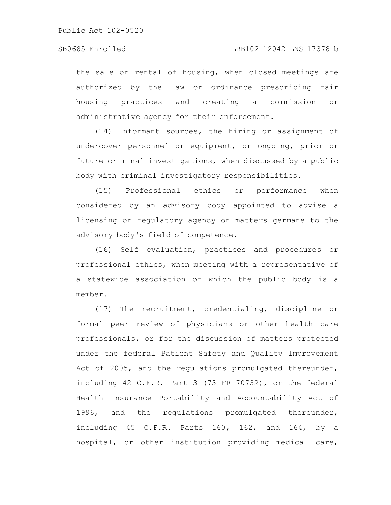the sale or rental of housing, when closed meetings are authorized by the law or ordinance prescribing fair housing practices and creating a commission or administrative agency for their enforcement.

(14) Informant sources, the hiring or assignment of undercover personnel or equipment, or ongoing, prior or future criminal investigations, when discussed by a public body with criminal investigatory responsibilities.

(15) Professional ethics or performance when considered by an advisory body appointed to advise a licensing or regulatory agency on matters germane to the advisory body's field of competence.

(16) Self evaluation, practices and procedures or professional ethics, when meeting with a representative of a statewide association of which the public body is a member.

(17) The recruitment, credentialing, discipline or formal peer review of physicians or other health care professionals, or for the discussion of matters protected under the federal Patient Safety and Quality Improvement Act of 2005, and the regulations promulgated thereunder, including 42 C.F.R. Part 3 (73 FR 70732), or the federal Health Insurance Portability and Accountability Act of 1996, and the regulations promulgated thereunder, including 45 C.F.R. Parts 160, 162, and 164, by a hospital, or other institution providing medical care,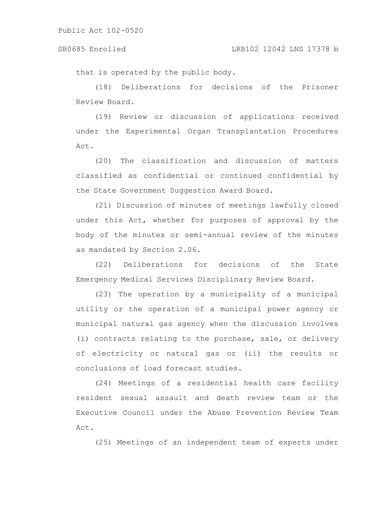#### SB0685 Enrolled LRB102 12042 LNS 17378 b

that is operated by the public body.

(18) Deliberations for decisions of the Prisoner Review Board.

(19) Review or discussion of applications received under the Experimental Organ Transplantation Procedures Act.

(20) The classification and discussion of matters classified as confidential or continued confidential by the State Government Suggestion Award Board.

(21) Discussion of minutes of meetings lawfully closed under this Act, whether for purposes of approval by the body of the minutes or semi-annual review of the minutes as mandated by Section 2.06.

(22) Deliberations for decisions of the State Emergency Medical Services Disciplinary Review Board.

(23) The operation by a municipality of a municipal utility or the operation of a municipal power agency or municipal natural gas agency when the discussion involves (i) contracts relating to the purchase, sale, or delivery of electricity or natural gas or (ii) the results or conclusions of load forecast studies.

(24) Meetings of a residential health care facility resident sexual assault and death review team or the Executive Council under the Abuse Prevention Review Team Act.

(25) Meetings of an independent team of experts under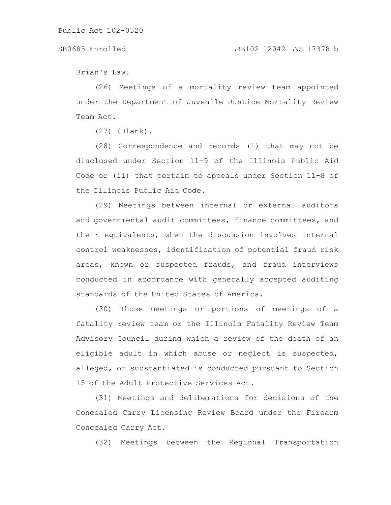#### SB0685 Enrolled LRB102 12042 LNS 17378 b

Brian's Law.

(26) Meetings of a mortality review team appointed under the Department of Juvenile Justice Mortality Review Team Act.

(27) (Blank).

(28) Correspondence and records (i) that may not be disclosed under Section 11-9 of the Illinois Public Aid Code or (ii) that pertain to appeals under Section 11-8 of the Illinois Public Aid Code.

(29) Meetings between internal or external auditors and governmental audit committees, finance committees, and their equivalents, when the discussion involves internal control weaknesses, identification of potential fraud risk areas, known or suspected frauds, and fraud interviews conducted in accordance with generally accepted auditing standards of the United States of America.

(30) Those meetings or portions of meetings of a fatality review team or the Illinois Fatality Review Team Advisory Council during which a review of the death of an eligible adult in which abuse or neglect is suspected, alleged, or substantiated is conducted pursuant to Section 15 of the Adult Protective Services Act.

(31) Meetings and deliberations for decisions of the Concealed Carry Licensing Review Board under the Firearm Concealed Carry Act.

(32) Meetings between the Regional Transportation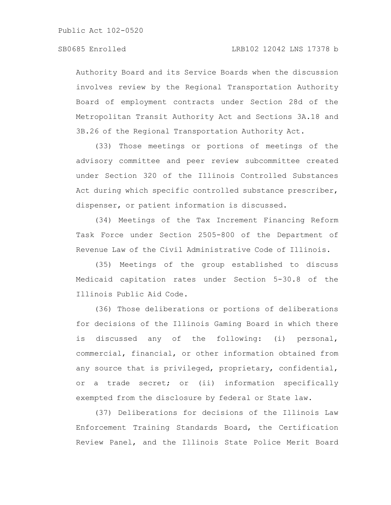Authority Board and its Service Boards when the discussion involves review by the Regional Transportation Authority Board of employment contracts under Section 28d of the Metropolitan Transit Authority Act and Sections 3A.18 and 3B.26 of the Regional Transportation Authority Act.

(33) Those meetings or portions of meetings of the advisory committee and peer review subcommittee created under Section 320 of the Illinois Controlled Substances Act during which specific controlled substance prescriber, dispenser, or patient information is discussed.

(34) Meetings of the Tax Increment Financing Reform Task Force under Section 2505-800 of the Department of Revenue Law of the Civil Administrative Code of Illinois.

(35) Meetings of the group established to discuss Medicaid capitation rates under Section 5-30.8 of the Illinois Public Aid Code.

(36) Those deliberations or portions of deliberations for decisions of the Illinois Gaming Board in which there is discussed any of the following: (i) personal, commercial, financial, or other information obtained from any source that is privileged, proprietary, confidential, or a trade secret; or (ii) information specifically exempted from the disclosure by federal or State law.

(37) Deliberations for decisions of the Illinois Law Enforcement Training Standards Board, the Certification Review Panel, and the Illinois State Police Merit Board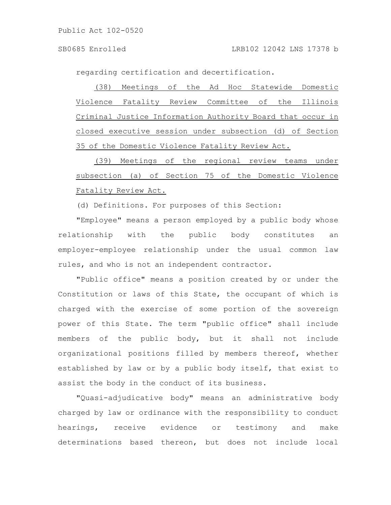regarding certification and decertification.

(38) Meetings of the Ad Hoc Statewide Domestic Violence Fatality Review Committee of the Illinois Criminal Justice Information Authority Board that occur in closed executive session under subsection (d) of Section 35 of the Domestic Violence Fatality Review Act.

(39) Meetings of the regional review teams under subsection (a) of Section 75 of the Domestic Violence Fatality Review Act.

(d) Definitions. For purposes of this Section:

"Employee" means a person employed by a public body whose relationship with the public body constitutes an employer-employee relationship under the usual common law rules, and who is not an independent contractor.

"Public office" means a position created by or under the Constitution or laws of this State, the occupant of which is charged with the exercise of some portion of the sovereign power of this State. The term "public office" shall include members of the public body, but it shall not include organizational positions filled by members thereof, whether established by law or by a public body itself, that exist to assist the body in the conduct of its business.

"Quasi-adjudicative body" means an administrative body charged by law or ordinance with the responsibility to conduct hearings, receive evidence or testimony and make determinations based thereon, but does not include local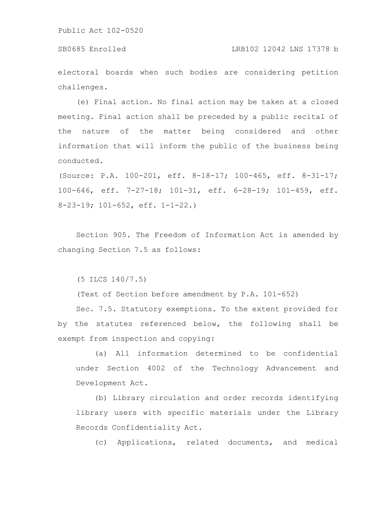electoral boards when such bodies are considering petition challenges.

(e) Final action. No final action may be taken at a closed meeting. Final action shall be preceded by a public recital of the nature of the matter being considered and other information that will inform the public of the business being conducted.

(Source: P.A. 100-201, eff. 8-18-17; 100-465, eff. 8-31-17; 100-646, eff. 7-27-18; 101-31, eff. 6-28-19; 101-459, eff. 8-23-19; 101-652, eff. 1-1-22.)

Section 905. The Freedom of Information Act is amended by changing Section 7.5 as follows:

(5 ILCS 140/7.5)

(Text of Section before amendment by P.A. 101-652)

Sec. 7.5. Statutory exemptions. To the extent provided for by the statutes referenced below, the following shall be exempt from inspection and copying:

(a) All information determined to be confidential under Section 4002 of the Technology Advancement and Development Act.

(b) Library circulation and order records identifying library users with specific materials under the Library Records Confidentiality Act.

(c) Applications, related documents, and medical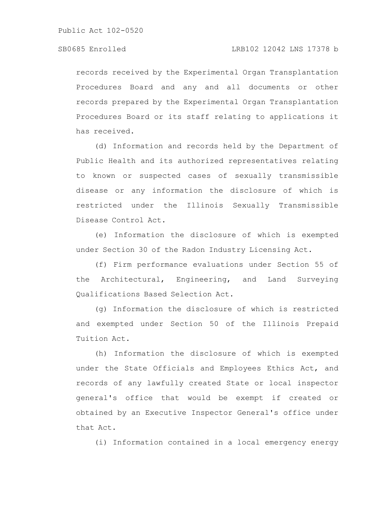records received by the Experimental Organ Transplantation Procedures Board and any and all documents or other records prepared by the Experimental Organ Transplantation Procedures Board or its staff relating to applications it has received.

(d) Information and records held by the Department of Public Health and its authorized representatives relating to known or suspected cases of sexually transmissible disease or any information the disclosure of which is restricted under the Illinois Sexually Transmissible Disease Control Act.

(e) Information the disclosure of which is exempted under Section 30 of the Radon Industry Licensing Act.

(f) Firm performance evaluations under Section 55 of the Architectural, Engineering, and Land Surveying Qualifications Based Selection Act.

(g) Information the disclosure of which is restricted and exempted under Section 50 of the Illinois Prepaid Tuition Act.

(h) Information the disclosure of which is exempted under the State Officials and Employees Ethics Act, and records of any lawfully created State or local inspector general's office that would be exempt if created or obtained by an Executive Inspector General's office under that Act.

(i) Information contained in a local emergency energy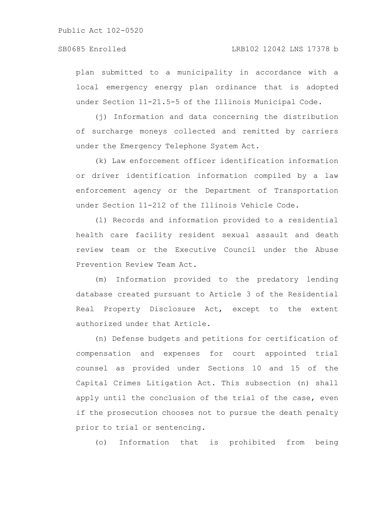plan submitted to a municipality in accordance with a local emergency energy plan ordinance that is adopted under Section 11-21.5-5 of the Illinois Municipal Code.

(j) Information and data concerning the distribution of surcharge moneys collected and remitted by carriers under the Emergency Telephone System Act.

(k) Law enforcement officer identification information or driver identification information compiled by a law enforcement agency or the Department of Transportation under Section 11-212 of the Illinois Vehicle Code.

(l) Records and information provided to a residential health care facility resident sexual assault and death review team or the Executive Council under the Abuse Prevention Review Team Act.

(m) Information provided to the predatory lending database created pursuant to Article 3 of the Residential Real Property Disclosure Act, except to the extent authorized under that Article.

(n) Defense budgets and petitions for certification of compensation and expenses for court appointed trial counsel as provided under Sections 10 and 15 of the Capital Crimes Litigation Act. This subsection (n) shall apply until the conclusion of the trial of the case, even if the prosecution chooses not to pursue the death penalty prior to trial or sentencing.

(o) Information that is prohibited from being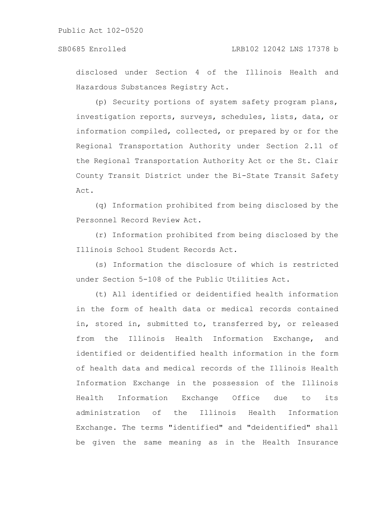disclosed under Section 4 of the Illinois Health and Hazardous Substances Registry Act.

(p) Security portions of system safety program plans, investigation reports, surveys, schedules, lists, data, or information compiled, collected, or prepared by or for the Regional Transportation Authority under Section 2.11 of the Regional Transportation Authority Act or the St. Clair County Transit District under the Bi-State Transit Safety Act.

(q) Information prohibited from being disclosed by the Personnel Record Review Act.

(r) Information prohibited from being disclosed by the Illinois School Student Records Act.

(s) Information the disclosure of which is restricted under Section 5-108 of the Public Utilities Act.

(t) All identified or deidentified health information in the form of health data or medical records contained in, stored in, submitted to, transferred by, or released from the Illinois Health Information Exchange, and identified or deidentified health information in the form of health data and medical records of the Illinois Health Information Exchange in the possession of the Illinois Health Information Exchange Office due to its administration of the Illinois Health Information Exchange. The terms "identified" and "deidentified" shall be given the same meaning as in the Health Insurance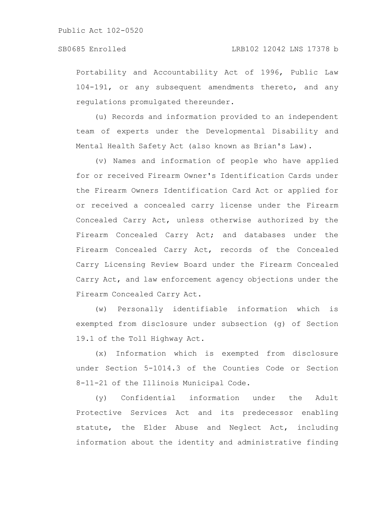Portability and Accountability Act of 1996, Public Law 104-191, or any subsequent amendments thereto, and any regulations promulgated thereunder.

(u) Records and information provided to an independent team of experts under the Developmental Disability and Mental Health Safety Act (also known as Brian's Law).

(v) Names and information of people who have applied for or received Firearm Owner's Identification Cards under the Firearm Owners Identification Card Act or applied for or received a concealed carry license under the Firearm Concealed Carry Act, unless otherwise authorized by the Firearm Concealed Carry Act; and databases under the Firearm Concealed Carry Act, records of the Concealed Carry Licensing Review Board under the Firearm Concealed Carry Act, and law enforcement agency objections under the Firearm Concealed Carry Act.

(w) Personally identifiable information which is exempted from disclosure under subsection (g) of Section 19.1 of the Toll Highway Act.

(x) Information which is exempted from disclosure under Section 5-1014.3 of the Counties Code or Section 8-11-21 of the Illinois Municipal Code.

(y) Confidential information under the Adult Protective Services Act and its predecessor enabling statute, the Elder Abuse and Neglect Act, including information about the identity and administrative finding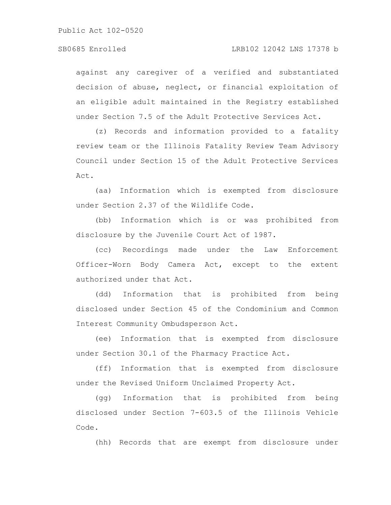### SB0685 Enrolled LRB102 12042 LNS 17378 b

against any caregiver of a verified and substantiated decision of abuse, neglect, or financial exploitation of an eligible adult maintained in the Registry established under Section 7.5 of the Adult Protective Services Act.

(z) Records and information provided to a fatality review team or the Illinois Fatality Review Team Advisory Council under Section 15 of the Adult Protective Services Act.

(aa) Information which is exempted from disclosure under Section 2.37 of the Wildlife Code.

(bb) Information which is or was prohibited from disclosure by the Juvenile Court Act of 1987.

(cc) Recordings made under the Law Enforcement Officer-Worn Body Camera Act, except to the extent authorized under that Act.

(dd) Information that is prohibited from being disclosed under Section 45 of the Condominium and Common Interest Community Ombudsperson Act.

(ee) Information that is exempted from disclosure under Section 30.1 of the Pharmacy Practice Act.

(ff) Information that is exempted from disclosure under the Revised Uniform Unclaimed Property Act.

(gg) Information that is prohibited from being disclosed under Section 7-603.5 of the Illinois Vehicle Code.

(hh) Records that are exempt from disclosure under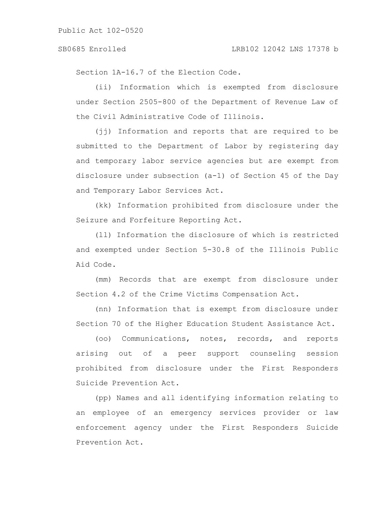Section 1A-16.7 of the Election Code.

(ii) Information which is exempted from disclosure under Section 2505-800 of the Department of Revenue Law of the Civil Administrative Code of Illinois.

(jj) Information and reports that are required to be submitted to the Department of Labor by registering day and temporary labor service agencies but are exempt from disclosure under subsection (a-1) of Section 45 of the Day and Temporary Labor Services Act.

(kk) Information prohibited from disclosure under the Seizure and Forfeiture Reporting Act.

(ll) Information the disclosure of which is restricted and exempted under Section 5-30.8 of the Illinois Public Aid Code.

(mm) Records that are exempt from disclosure under Section 4.2 of the Crime Victims Compensation Act.

(nn) Information that is exempt from disclosure under Section 70 of the Higher Education Student Assistance Act.

(oo) Communications, notes, records, and reports arising out of a peer support counseling session prohibited from disclosure under the First Responders Suicide Prevention Act.

(pp) Names and all identifying information relating to an employee of an emergency services provider or law enforcement agency under the First Responders Suicide Prevention Act.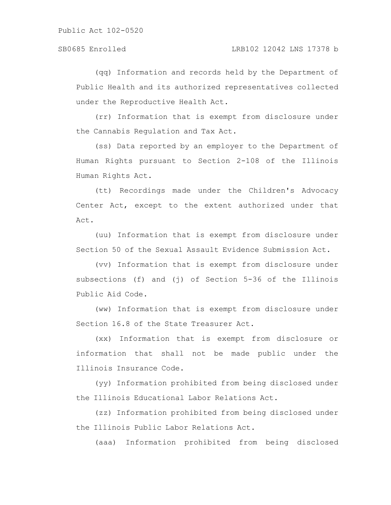(qq) Information and records held by the Department of Public Health and its authorized representatives collected under the Reproductive Health Act.

(rr) Information that is exempt from disclosure under the Cannabis Regulation and Tax Act.

(ss) Data reported by an employer to the Department of Human Rights pursuant to Section 2-108 of the Illinois Human Rights Act.

(tt) Recordings made under the Children's Advocacy Center Act, except to the extent authorized under that Act.

(uu) Information that is exempt from disclosure under Section 50 of the Sexual Assault Evidence Submission Act.

(vv) Information that is exempt from disclosure under subsections (f) and (j) of Section 5-36 of the Illinois Public Aid Code.

(ww) Information that is exempt from disclosure under Section 16.8 of the State Treasurer Act.

(xx) Information that is exempt from disclosure or information that shall not be made public under the Illinois Insurance Code.

(yy) Information prohibited from being disclosed under the Illinois Educational Labor Relations Act.

(zz) Information prohibited from being disclosed under the Illinois Public Labor Relations Act.

(aaa) Information prohibited from being disclosed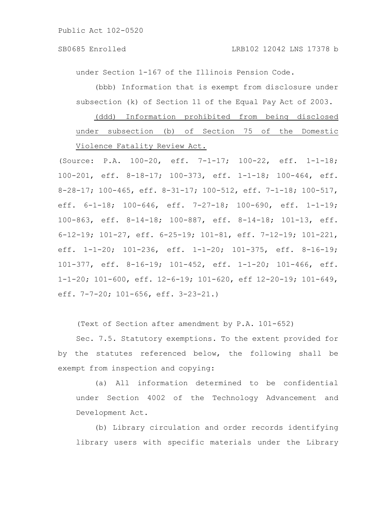under Section 1-167 of the Illinois Pension Code.

(bbb) Information that is exempt from disclosure under subsection (k) of Section 11 of the Equal Pay Act of 2003.

(ddd) Information prohibited from being disclosed under subsection (b) of Section 75 of the Domestic Violence Fatality Review Act.

(Source: P.A. 100-20, eff. 7-1-17; 100-22, eff. 1-1-18; 100-201, eff. 8-18-17; 100-373, eff. 1-1-18; 100-464, eff. 8-28-17; 100-465, eff. 8-31-17; 100-512, eff. 7-1-18; 100-517, eff. 6-1-18; 100-646, eff. 7-27-18; 100-690, eff. 1-1-19; 100-863, eff. 8-14-18; 100-887, eff. 8-14-18; 101-13, eff. 6-12-19; 101-27, eff. 6-25-19; 101-81, eff. 7-12-19; 101-221, eff. 1-1-20; 101-236, eff. 1-1-20; 101-375, eff. 8-16-19; 101-377, eff. 8-16-19; 101-452, eff. 1-1-20; 101-466, eff. 1-1-20; 101-600, eff. 12-6-19; 101-620, eff 12-20-19; 101-649, eff. 7-7-20; 101-656, eff. 3-23-21.)

(Text of Section after amendment by P.A. 101-652)

Sec. 7.5. Statutory exemptions. To the extent provided for by the statutes referenced below, the following shall be exempt from inspection and copying:

(a) All information determined to be confidential under Section 4002 of the Technology Advancement and Development Act.

(b) Library circulation and order records identifying library users with specific materials under the Library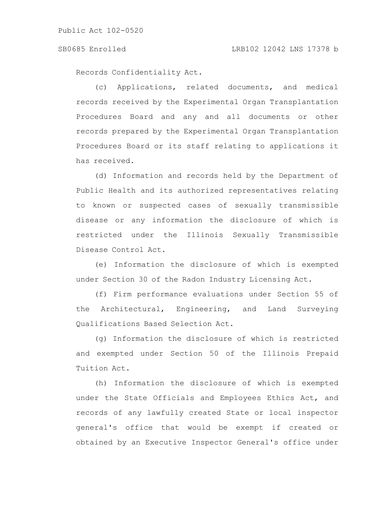#### SB0685 Enrolled LRB102 12042 LNS 17378 b

Records Confidentiality Act.

(c) Applications, related documents, and medical records received by the Experimental Organ Transplantation Procedures Board and any and all documents or other records prepared by the Experimental Organ Transplantation Procedures Board or its staff relating to applications it has received.

(d) Information and records held by the Department of Public Health and its authorized representatives relating to known or suspected cases of sexually transmissible disease or any information the disclosure of which is restricted under the Illinois Sexually Transmissible Disease Control Act.

(e) Information the disclosure of which is exempted under Section 30 of the Radon Industry Licensing Act.

(f) Firm performance evaluations under Section 55 of the Architectural, Engineering, and Land Surveying Qualifications Based Selection Act.

(g) Information the disclosure of which is restricted and exempted under Section 50 of the Illinois Prepaid Tuition Act.

(h) Information the disclosure of which is exempted under the State Officials and Employees Ethics Act, and records of any lawfully created State or local inspector general's office that would be exempt if created or obtained by an Executive Inspector General's office under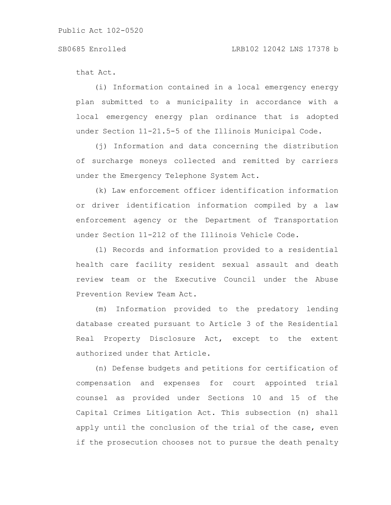that Act.

(i) Information contained in a local emergency energy plan submitted to a municipality in accordance with a local emergency energy plan ordinance that is adopted under Section 11-21.5-5 of the Illinois Municipal Code.

(j) Information and data concerning the distribution of surcharge moneys collected and remitted by carriers under the Emergency Telephone System Act.

(k) Law enforcement officer identification information or driver identification information compiled by a law enforcement agency or the Department of Transportation under Section 11-212 of the Illinois Vehicle Code.

(l) Records and information provided to a residential health care facility resident sexual assault and death review team or the Executive Council under the Abuse Prevention Review Team Act.

(m) Information provided to the predatory lending database created pursuant to Article 3 of the Residential Real Property Disclosure Act, except to the extent authorized under that Article.

(n) Defense budgets and petitions for certification of compensation and expenses for court appointed trial counsel as provided under Sections 10 and 15 of the Capital Crimes Litigation Act. This subsection (n) shall apply until the conclusion of the trial of the case, even if the prosecution chooses not to pursue the death penalty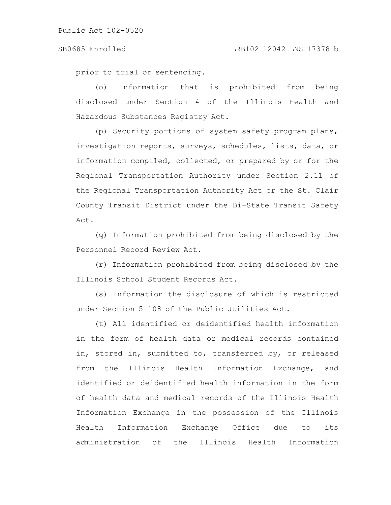prior to trial or sentencing.

(o) Information that is prohibited from being disclosed under Section 4 of the Illinois Health and Hazardous Substances Registry Act.

(p) Security portions of system safety program plans, investigation reports, surveys, schedules, lists, data, or information compiled, collected, or prepared by or for the Regional Transportation Authority under Section 2.11 of the Regional Transportation Authority Act or the St. Clair County Transit District under the Bi-State Transit Safety Act.

(q) Information prohibited from being disclosed by the Personnel Record Review Act.

(r) Information prohibited from being disclosed by the Illinois School Student Records Act.

(s) Information the disclosure of which is restricted under Section 5-108 of the Public Utilities Act.

(t) All identified or deidentified health information in the form of health data or medical records contained in, stored in, submitted to, transferred by, or released from the Illinois Health Information Exchange, and identified or deidentified health information in the form of health data and medical records of the Illinois Health Information Exchange in the possession of the Illinois Health Information Exchange Office due to its administration of the Illinois Health Information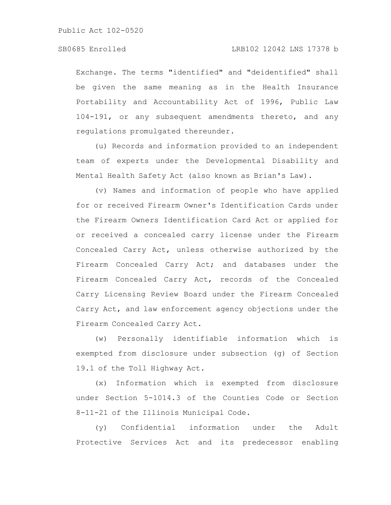Exchange. The terms "identified" and "deidentified" shall be given the same meaning as in the Health Insurance Portability and Accountability Act of 1996, Public Law 104-191, or any subsequent amendments thereto, and any regulations promulgated thereunder.

(u) Records and information provided to an independent team of experts under the Developmental Disability and Mental Health Safety Act (also known as Brian's Law).

(v) Names and information of people who have applied for or received Firearm Owner's Identification Cards under the Firearm Owners Identification Card Act or applied for or received a concealed carry license under the Firearm Concealed Carry Act, unless otherwise authorized by the Firearm Concealed Carry Act; and databases under the Firearm Concealed Carry Act, records of the Concealed Carry Licensing Review Board under the Firearm Concealed Carry Act, and law enforcement agency objections under the Firearm Concealed Carry Act.

(w) Personally identifiable information which is exempted from disclosure under subsection (g) of Section 19.1 of the Toll Highway Act.

(x) Information which is exempted from disclosure under Section 5-1014.3 of the Counties Code or Section 8-11-21 of the Illinois Municipal Code.

(y) Confidential information under the Adult Protective Services Act and its predecessor enabling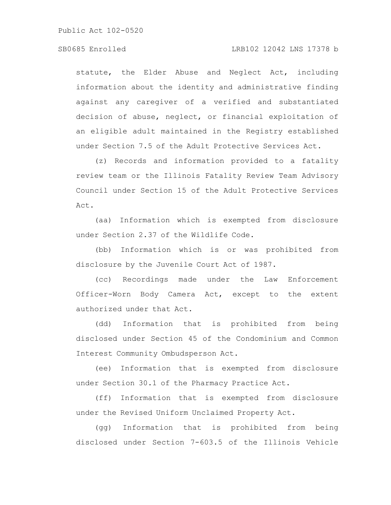### SB0685 Enrolled LRB102 12042 LNS 17378 b

statute, the Elder Abuse and Neglect Act, including information about the identity and administrative finding against any caregiver of a verified and substantiated decision of abuse, neglect, or financial exploitation of an eligible adult maintained in the Registry established under Section 7.5 of the Adult Protective Services Act.

(z) Records and information provided to a fatality review team or the Illinois Fatality Review Team Advisory Council under Section 15 of the Adult Protective Services Act.

(aa) Information which is exempted from disclosure under Section 2.37 of the Wildlife Code.

(bb) Information which is or was prohibited from disclosure by the Juvenile Court Act of 1987.

(cc) Recordings made under the Law Enforcement Officer-Worn Body Camera Act, except to the extent authorized under that Act.

(dd) Information that is prohibited from being disclosed under Section 45 of the Condominium and Common Interest Community Ombudsperson Act.

(ee) Information that is exempted from disclosure under Section 30.1 of the Pharmacy Practice Act.

(ff) Information that is exempted from disclosure under the Revised Uniform Unclaimed Property Act.

(gg) Information that is prohibited from being disclosed under Section 7-603.5 of the Illinois Vehicle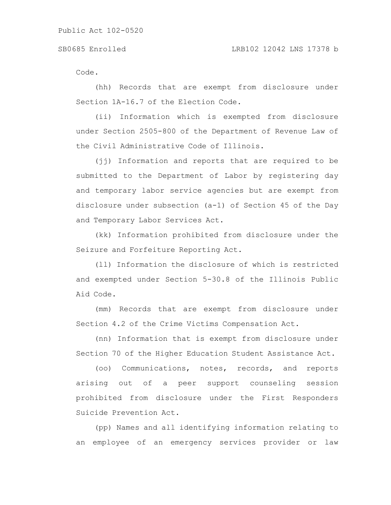Code.

(hh) Records that are exempt from disclosure under Section 1A-16.7 of the Election Code.

(ii) Information which is exempted from disclosure under Section 2505-800 of the Department of Revenue Law of the Civil Administrative Code of Illinois.

(jj) Information and reports that are required to be submitted to the Department of Labor by registering day and temporary labor service agencies but are exempt from disclosure under subsection (a-1) of Section 45 of the Day and Temporary Labor Services Act.

(kk) Information prohibited from disclosure under the Seizure and Forfeiture Reporting Act.

(ll) Information the disclosure of which is restricted and exempted under Section 5-30.8 of the Illinois Public Aid Code.

(mm) Records that are exempt from disclosure under Section 4.2 of the Crime Victims Compensation Act.

(nn) Information that is exempt from disclosure under Section 70 of the Higher Education Student Assistance Act.

(oo) Communications, notes, records, and reports arising out of a peer support counseling session prohibited from disclosure under the First Responders Suicide Prevention Act.

(pp) Names and all identifying information relating to an employee of an emergency services provider or law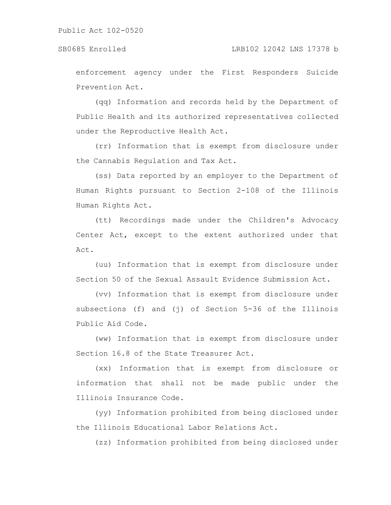enforcement agency under the First Responders Suicide Prevention Act.

(qq) Information and records held by the Department of Public Health and its authorized representatives collected under the Reproductive Health Act.

(rr) Information that is exempt from disclosure under the Cannabis Regulation and Tax Act.

(ss) Data reported by an employer to the Department of Human Rights pursuant to Section 2-108 of the Illinois Human Rights Act.

(tt) Recordings made under the Children's Advocacy Center Act, except to the extent authorized under that Act.

(uu) Information that is exempt from disclosure under Section 50 of the Sexual Assault Evidence Submission Act.

(vv) Information that is exempt from disclosure under subsections (f) and (j) of Section 5-36 of the Illinois Public Aid Code.

(ww) Information that is exempt from disclosure under Section 16.8 of the State Treasurer Act.

(xx) Information that is exempt from disclosure or information that shall not be made public under the Illinois Insurance Code.

(yy) Information prohibited from being disclosed under the Illinois Educational Labor Relations Act.

(zz) Information prohibited from being disclosed under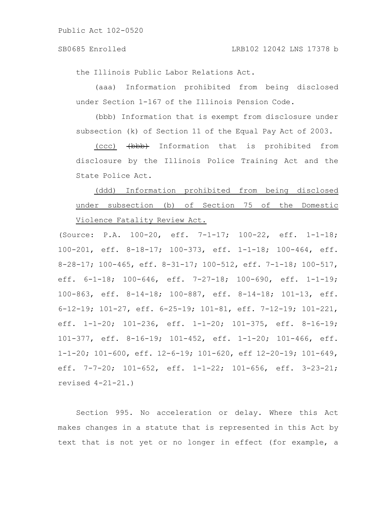the Illinois Public Labor Relations Act.

(aaa) Information prohibited from being disclosed under Section 1-167 of the Illinois Pension Code.

(bbb) Information that is exempt from disclosure under subsection (k) of Section 11 of the Equal Pay Act of 2003.

(ccc) (bbb) Information that is prohibited from disclosure by the Illinois Police Training Act and the State Police Act.

## (ddd) Information prohibited from being disclosed under subsection (b) of Section 75 of the Domestic Violence Fatality Review Act.

(Source: P.A. 100-20, eff. 7-1-17; 100-22, eff. 1-1-18; 100-201, eff. 8-18-17; 100-373, eff. 1-1-18; 100-464, eff. 8-28-17; 100-465, eff. 8-31-17; 100-512, eff. 7-1-18; 100-517, eff. 6-1-18; 100-646, eff. 7-27-18; 100-690, eff. 1-1-19; 100-863, eff. 8-14-18; 100-887, eff. 8-14-18; 101-13, eff. 6-12-19; 101-27, eff. 6-25-19; 101-81, eff. 7-12-19; 101-221, eff. 1-1-20; 101-236, eff. 1-1-20; 101-375, eff. 8-16-19; 101-377, eff. 8-16-19; 101-452, eff. 1-1-20; 101-466, eff. 1-1-20; 101-600, eff. 12-6-19; 101-620, eff 12-20-19; 101-649, eff. 7-7-20; 101-652, eff. 1-1-22; 101-656, eff. 3-23-21; revised 4-21-21.)

Section 995. No acceleration or delay. Where this Act makes changes in a statute that is represented in this Act by text that is not yet or no longer in effect (for example, a